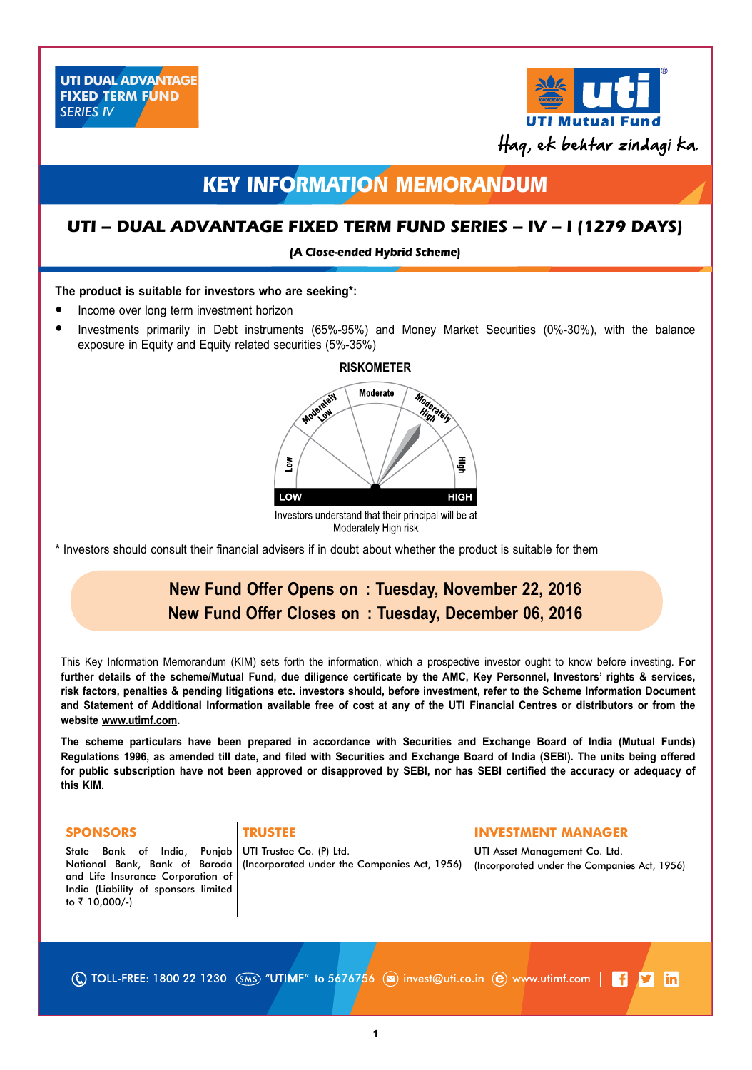

# **KEY INFORMATION MEMORANDUM**

## **UTI – Dual Advantage Fixed Term Fund Series – IV – I (1279 days)**

**(A Close-ended Hybrid Scheme)**

## **The product is suitable for investors who are seeking\*:**

- Income over long term investment horizon
- Investments primarily in Debt instruments (65%-95%) and Money Market Securities (0%-30%), with the balance exposure in Equity and Equity related securities (5%-35%)



Moderately High risk

\* Investors should consult their financial advisers if in doubt about whether the product is suitable for them

# **New Fund Offer Opens on : Tuesday, November 22, 2016 New Fund Offer Closes on : Tuesday, December 06, 2016**

This Key Information Memorandum (KIM) sets forth the information, which a prospective investor ought to know before investing. **For further details of the scheme/Mutual Fund, due diligence certificate by the AMC, Key Personnel, Investors' rights & services, risk factors, penalties & pending litigations etc. investors should, before investment, refer to the Scheme Information Document and Statement of Additional Information available free of cost at any of the UTI Financial Centres or distributors or from the website www.utimf.com.**

**The scheme particulars have been prepared in accordance with Securities and Exchange Board of India (Mutual Funds) Regulations 1996, as amended till date, and filed with Securities and Exchange Board of India (SEBI). The units being offered for public subscription have not been approved or disapproved by SEBI, nor has SEBI certified the accuracy or adequacy of this KIM.**

State Bank of India, Punjab National Bank, Bank of Baroda and Life Insurance Corporation of India (Liability of sponsors limited to ₹ 10,000/-)

UTI Trustee Co. (P) Ltd. (Incorporated under the Companies Act, 1956)

## **SPONSORS** TRUSTEE **INVESTMENT MANAGER**

UTI Asset Management Co. Ltd. (Incorporated under the Companies Act, 1956)

(C) TOLL-FREE: 1800 22 1230 (SMS) "UTIMF" to 5676756 (a) invest@uti.co.in (e) www.utimf.com |  $\blacksquare$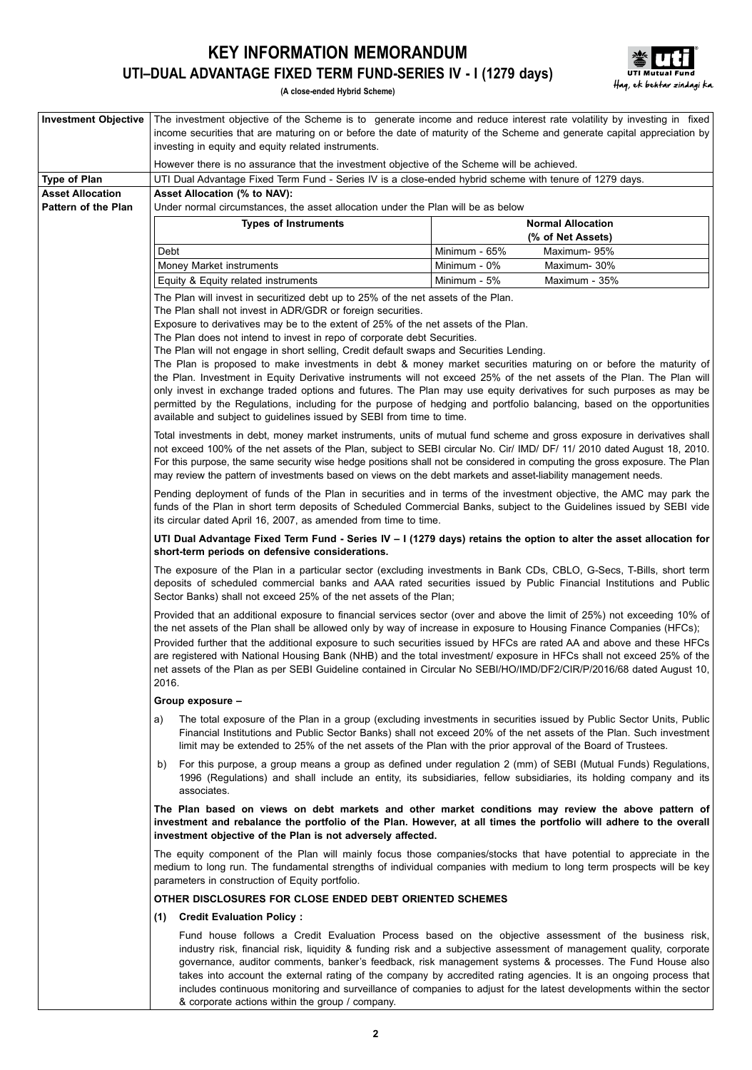# **KEY INFORMATION MEMORANDUM UTI–DUAL Advantage FIXED TERM Fund-Series IV - I (1279 days)**



**(A close-ended Hybrid Scheme)**

| <b>Investment Objective</b>                    |                                                                                                                                                                | The investment objective of the Scheme is to generate income and reduce interest rate volatility by investing in fixed<br>income securities that are maturing on or before the date of maturity of the Scheme and generate capital appreciation by                                                                                                                                                                                                                                                                                                                                        |
|------------------------------------------------|----------------------------------------------------------------------------------------------------------------------------------------------------------------|-------------------------------------------------------------------------------------------------------------------------------------------------------------------------------------------------------------------------------------------------------------------------------------------------------------------------------------------------------------------------------------------------------------------------------------------------------------------------------------------------------------------------------------------------------------------------------------------|
|                                                | investing in equity and equity related instruments.                                                                                                            |                                                                                                                                                                                                                                                                                                                                                                                                                                                                                                                                                                                           |
|                                                | However there is no assurance that the investment objective of the Scheme will be achieved.                                                                    |                                                                                                                                                                                                                                                                                                                                                                                                                                                                                                                                                                                           |
| <b>Type of Plan</b><br><b>Asset Allocation</b> | UTI Dual Advantage Fixed Term Fund - Series IV is a close-ended hybrid scheme with tenure of 1279 days.<br>Asset Allocation (% to NAV):                        |                                                                                                                                                                                                                                                                                                                                                                                                                                                                                                                                                                                           |
| <b>Pattern of the Plan</b>                     | Under normal circumstances, the asset allocation under the Plan will be as below                                                                               |                                                                                                                                                                                                                                                                                                                                                                                                                                                                                                                                                                                           |
|                                                | <b>Types of Instruments</b>                                                                                                                                    | <b>Normal Allocation</b>                                                                                                                                                                                                                                                                                                                                                                                                                                                                                                                                                                  |
|                                                |                                                                                                                                                                | (% of Net Assets)                                                                                                                                                                                                                                                                                                                                                                                                                                                                                                                                                                         |
|                                                | Debt<br>Money Market instruments                                                                                                                               | Minimum - 65%<br>Maximum- 95%<br>Minimum - 0%<br>Maximum-30%                                                                                                                                                                                                                                                                                                                                                                                                                                                                                                                              |
|                                                | Equity & Equity related instruments                                                                                                                            | Minimum - 5%<br>Maximum - 35%                                                                                                                                                                                                                                                                                                                                                                                                                                                                                                                                                             |
|                                                | The Plan will invest in securitized debt up to 25% of the net assets of the Plan.                                                                              |                                                                                                                                                                                                                                                                                                                                                                                                                                                                                                                                                                                           |
|                                                | The Plan shall not invest in ADR/GDR or foreign securities.                                                                                                    |                                                                                                                                                                                                                                                                                                                                                                                                                                                                                                                                                                                           |
|                                                | Exposure to derivatives may be to the extent of 25% of the net assets of the Plan.<br>The Plan does not intend to invest in repo of corporate debt Securities. |                                                                                                                                                                                                                                                                                                                                                                                                                                                                                                                                                                                           |
|                                                | The Plan will not engage in short selling, Credit default swaps and Securities Lending.                                                                        |                                                                                                                                                                                                                                                                                                                                                                                                                                                                                                                                                                                           |
|                                                |                                                                                                                                                                | The Plan is proposed to make investments in debt & money market securities maturing on or before the maturity of                                                                                                                                                                                                                                                                                                                                                                                                                                                                          |
|                                                |                                                                                                                                                                | the Plan. Investment in Equity Derivative instruments will not exceed 25% of the net assets of the Plan. The Plan will<br>only invest in exchange traded options and futures. The Plan may use equity derivatives for such purposes as may be                                                                                                                                                                                                                                                                                                                                             |
|                                                |                                                                                                                                                                | permitted by the Regulations, including for the purpose of hedging and portfolio balancing, based on the opportunities                                                                                                                                                                                                                                                                                                                                                                                                                                                                    |
|                                                | available and subject to guidelines issued by SEBI from time to time.                                                                                          |                                                                                                                                                                                                                                                                                                                                                                                                                                                                                                                                                                                           |
|                                                |                                                                                                                                                                | Total investments in debt, money market instruments, units of mutual fund scheme and gross exposure in derivatives shall                                                                                                                                                                                                                                                                                                                                                                                                                                                                  |
|                                                |                                                                                                                                                                | not exceed 100% of the net assets of the Plan, subject to SEBI circular No. Cir/ IMD/ DF/ 11/ 2010 dated August 18, 2010.<br>For this purpose, the same security wise hedge positions shall not be considered in computing the gross exposure. The Plan                                                                                                                                                                                                                                                                                                                                   |
|                                                | may review the pattern of investments based on views on the debt markets and asset-liability management needs.                                                 |                                                                                                                                                                                                                                                                                                                                                                                                                                                                                                                                                                                           |
|                                                |                                                                                                                                                                | Pending deployment of funds of the Plan in securities and in terms of the investment objective, the AMC may park the                                                                                                                                                                                                                                                                                                                                                                                                                                                                      |
|                                                | its circular dated April 16, 2007, as amended from time to time.                                                                                               | funds of the Plan in short term deposits of Scheduled Commercial Banks, subject to the Guidelines issued by SEBI vide                                                                                                                                                                                                                                                                                                                                                                                                                                                                     |
|                                                | short-term periods on defensive considerations.                                                                                                                | UTI Dual Advantage Fixed Term Fund - Series IV – I (1279 days) retains the option to alter the asset allocation for                                                                                                                                                                                                                                                                                                                                                                                                                                                                       |
|                                                | Sector Banks) shall not exceed 25% of the net assets of the Plan;                                                                                              | The exposure of the Plan in a particular sector (excluding investments in Bank CDs, CBLO, G-Secs, T-Bills, short term<br>deposits of scheduled commercial banks and AAA rated securities issued by Public Financial Institutions and Public                                                                                                                                                                                                                                                                                                                                               |
|                                                |                                                                                                                                                                | Provided that an additional exposure to financial services sector (over and above the limit of 25%) not exceeding 10% of<br>the net assets of the Plan shall be allowed only by way of increase in exposure to Housing Finance Companies (HFCs);                                                                                                                                                                                                                                                                                                                                          |
|                                                | 2016.                                                                                                                                                          | Provided further that the additional exposure to such securities issued by HFCs are rated AA and above and these HFCs<br>are registered with National Housing Bank (NHB) and the total investment/ exposure in HFCs shall not exceed 25% of the<br>net assets of the Plan as per SEBI Guideline contained in Circular No SEBI/HO/IMD/DF2/CIR/P/2016/68 dated August 10,                                                                                                                                                                                                                   |
|                                                | Group exposure -                                                                                                                                               |                                                                                                                                                                                                                                                                                                                                                                                                                                                                                                                                                                                           |
|                                                | a)<br>limit may be extended to 25% of the net assets of the Plan with the prior approval of the Board of Trustees.                                             | The total exposure of the Plan in a group (excluding investments in securities issued by Public Sector Units, Public<br>Financial Institutions and Public Sector Banks) shall not exceed 20% of the net assets of the Plan. Such investment                                                                                                                                                                                                                                                                                                                                               |
|                                                | b)<br>associates.                                                                                                                                              | For this purpose, a group means a group as defined under regulation 2 (mm) of SEBI (Mutual Funds) Regulations,<br>1996 (Regulations) and shall include an entity, its subsidiaries, fellow subsidiaries, its holding company and its                                                                                                                                                                                                                                                                                                                                                      |
|                                                | investment objective of the Plan is not adversely affected.                                                                                                    | The Plan based on views on debt markets and other market conditions may review the above pattern of<br>investment and rebalance the portfolio of the Plan. However, at all times the portfolio will adhere to the overall                                                                                                                                                                                                                                                                                                                                                                 |
|                                                | parameters in construction of Equity portfolio.                                                                                                                | The equity component of the Plan will mainly focus those companies/stocks that have potential to appreciate in the<br>medium to long run. The fundamental strengths of individual companies with medium to long term prospects will be key                                                                                                                                                                                                                                                                                                                                                |
|                                                | OTHER DISCLOSURES FOR CLOSE ENDED DEBT ORIENTED SCHEMES                                                                                                        |                                                                                                                                                                                                                                                                                                                                                                                                                                                                                                                                                                                           |
|                                                | <b>Credit Evaluation Policy:</b><br>(1)                                                                                                                        |                                                                                                                                                                                                                                                                                                                                                                                                                                                                                                                                                                                           |
|                                                | & corporate actions within the group / company.                                                                                                                | Fund house follows a Credit Evaluation Process based on the objective assessment of the business risk,<br>industry risk, financial risk, liquidity & funding risk and a subjective assessment of management quality, corporate<br>governance, auditor comments, banker's feedback, risk management systems & processes. The Fund House also<br>takes into account the external rating of the company by accredited rating agencies. It is an ongoing process that<br>includes continuous monitoring and surveillance of companies to adjust for the latest developments within the sector |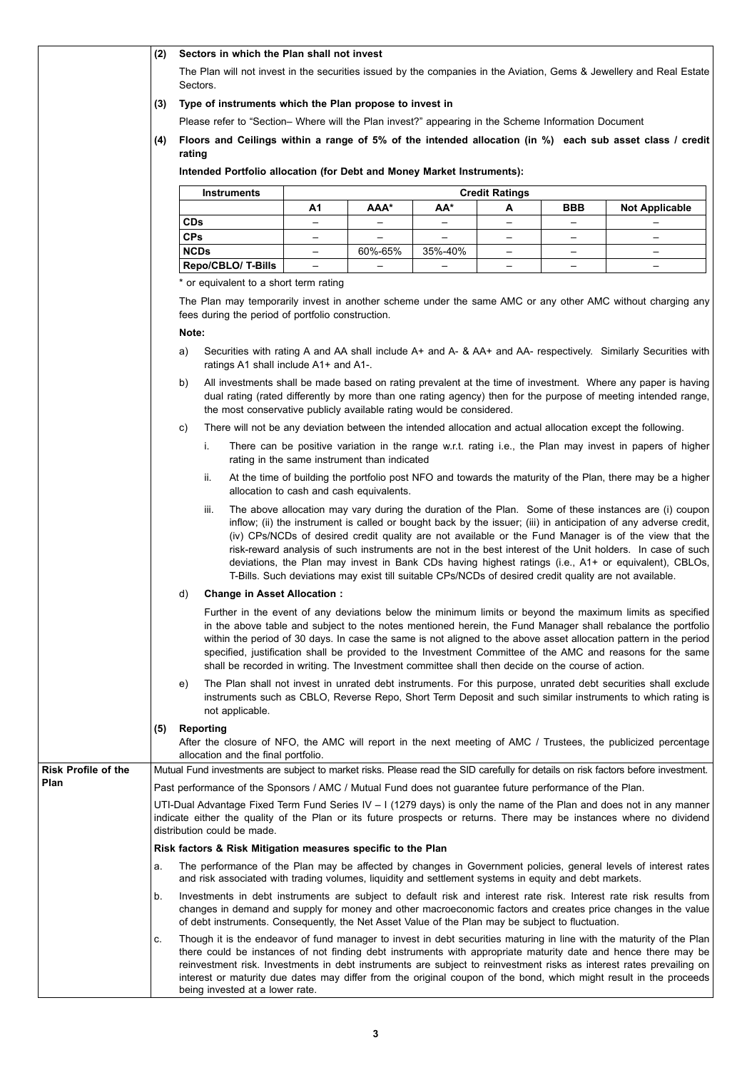|                                    | (2) | Sectors in which the Plan shall not invest                                                                                                                                                                                                                                   |                                              |                          |                          |                          |                   |                                                                                                                                                                                                                                                                                                                                                                                                                                                                                                                                                                                                                                                                    |
|------------------------------------|-----|------------------------------------------------------------------------------------------------------------------------------------------------------------------------------------------------------------------------------------------------------------------------------|----------------------------------------------|--------------------------|--------------------------|--------------------------|-------------------|--------------------------------------------------------------------------------------------------------------------------------------------------------------------------------------------------------------------------------------------------------------------------------------------------------------------------------------------------------------------------------------------------------------------------------------------------------------------------------------------------------------------------------------------------------------------------------------------------------------------------------------------------------------------|
|                                    |     | Sectors.                                                                                                                                                                                                                                                                     |                                              |                          |                          |                          |                   | The Plan will not invest in the securities issued by the companies in the Aviation, Gems & Jewellery and Real Estate                                                                                                                                                                                                                                                                                                                                                                                                                                                                                                                                               |
|                                    | (3) | Type of instruments which the Plan propose to invest in                                                                                                                                                                                                                      |                                              |                          |                          |                          |                   |                                                                                                                                                                                                                                                                                                                                                                                                                                                                                                                                                                                                                                                                    |
|                                    |     | Please refer to "Section-Where will the Plan invest?" appearing in the Scheme Information Document                                                                                                                                                                           |                                              |                          |                          |                          |                   |                                                                                                                                                                                                                                                                                                                                                                                                                                                                                                                                                                                                                                                                    |
|                                    | (4) | rating                                                                                                                                                                                                                                                                       |                                              |                          |                          |                          |                   | Floors and Ceilings within a range of 5% of the intended allocation (in %) each sub asset class / credit                                                                                                                                                                                                                                                                                                                                                                                                                                                                                                                                                           |
|                                    |     | Intended Portfolio allocation (for Debt and Money Market Instruments):                                                                                                                                                                                                       |                                              |                          |                          |                          |                   |                                                                                                                                                                                                                                                                                                                                                                                                                                                                                                                                                                                                                                                                    |
|                                    |     | <b>Instruments</b>                                                                                                                                                                                                                                                           |                                              |                          |                          | <b>Credit Ratings</b>    |                   |                                                                                                                                                                                                                                                                                                                                                                                                                                                                                                                                                                                                                                                                    |
|                                    |     | <b>CDs</b>                                                                                                                                                                                                                                                                   | А1<br>$\overline{\phantom{0}}$               | ААА*                     | AA*<br>$\qquad \qquad -$ | А                        | BBB               | <b>Not Applicable</b>                                                                                                                                                                                                                                                                                                                                                                                                                                                                                                                                                                                                                                              |
|                                    |     | <b>CPs</b>                                                                                                                                                                                                                                                                   | $\overline{\phantom{0}}$                     | $\overline{\phantom{0}}$ | $\overline{\phantom{0}}$ |                          |                   | $\overline{\phantom{m}}$                                                                                                                                                                                                                                                                                                                                                                                                                                                                                                                                                                                                                                           |
|                                    |     | <b>NCDs</b>                                                                                                                                                                                                                                                                  | $\overline{\phantom{m}}$                     | 60%-65%                  | 35%-40%                  | $\overline{\phantom{0}}$ | $\qquad \qquad -$ | $\qquad \qquad -$                                                                                                                                                                                                                                                                                                                                                                                                                                                                                                                                                                                                                                                  |
|                                    |     | Repo/CBLO/ T-Bills                                                                                                                                                                                                                                                           | $\overline{\phantom{m}}$                     |                          | $\overline{\phantom{m}}$ | $\qquad \qquad -$        | $\qquad \qquad -$ | $\overline{\phantom{m}}$                                                                                                                                                                                                                                                                                                                                                                                                                                                                                                                                                                                                                                           |
|                                    |     | * or equivalent to a short term rating                                                                                                                                                                                                                                       |                                              |                          |                          |                          |                   |                                                                                                                                                                                                                                                                                                                                                                                                                                                                                                                                                                                                                                                                    |
|                                    |     | fees during the period of portfolio construction.                                                                                                                                                                                                                            |                                              |                          |                          |                          |                   | The Plan may temporarily invest in another scheme under the same AMC or any other AMC without charging any                                                                                                                                                                                                                                                                                                                                                                                                                                                                                                                                                         |
|                                    |     | Note:                                                                                                                                                                                                                                                                        |                                              |                          |                          |                          |                   |                                                                                                                                                                                                                                                                                                                                                                                                                                                                                                                                                                                                                                                                    |
|                                    |     | a)<br>ratings A1 shall include A1+ and A1-.                                                                                                                                                                                                                                  |                                              |                          |                          |                          |                   | Securities with rating A and AA shall include A+ and A- & AA+ and AA- respectively. Similarly Securities with                                                                                                                                                                                                                                                                                                                                                                                                                                                                                                                                                      |
|                                    |     | b)<br>the most conservative publicly available rating would be considered.                                                                                                                                                                                                   |                                              |                          |                          |                          |                   | All investments shall be made based on rating prevalent at the time of investment. Where any paper is having<br>dual rating (rated differently by more than one rating agency) then for the purpose of meeting intended range,                                                                                                                                                                                                                                                                                                                                                                                                                                     |
|                                    |     | C)                                                                                                                                                                                                                                                                           |                                              |                          |                          |                          |                   | There will not be any deviation between the intended allocation and actual allocation except the following.                                                                                                                                                                                                                                                                                                                                                                                                                                                                                                                                                        |
|                                    |     | i.                                                                                                                                                                                                                                                                           | rating in the same instrument than indicated |                          |                          |                          |                   | There can be positive variation in the range w.r.t. rating i.e., the Plan may invest in papers of higher                                                                                                                                                                                                                                                                                                                                                                                                                                                                                                                                                           |
|                                    |     | ii.                                                                                                                                                                                                                                                                          | allocation to cash and cash equivalents.     |                          |                          |                          |                   | At the time of building the portfolio post NFO and towards the maturity of the Plan, there may be a higher                                                                                                                                                                                                                                                                                                                                                                                                                                                                                                                                                         |
|                                    |     | III.                                                                                                                                                                                                                                                                         |                                              |                          |                          |                          |                   | The above allocation may vary during the duration of the Plan. Some of these instances are (i) coupon<br>inflow; (ii) the instrument is called or bought back by the issuer; (iii) in anticipation of any adverse credit,<br>(iv) CPs/NCDs of desired credit quality are not available or the Fund Manager is of the view that the<br>risk-reward analysis of such instruments are not in the best interest of the Unit holders. In case of such<br>deviations, the Plan may invest in Bank CDs having highest ratings (i.e., A1+ or equivalent), CBLOs,<br>T-Bills. Such deviations may exist till suitable CPs/NCDs of desired credit quality are not available. |
|                                    |     | <b>Change in Asset Allocation:</b><br>d)                                                                                                                                                                                                                                     |                                              |                          |                          |                          |                   |                                                                                                                                                                                                                                                                                                                                                                                                                                                                                                                                                                                                                                                                    |
|                                    |     | shall be recorded in writing. The Investment committee shall then decide on the course of action.                                                                                                                                                                            |                                              |                          |                          |                          |                   | Further in the event of any deviations below the minimum limits or beyond the maximum limits as specified<br>in the above table and subject to the notes mentioned herein, the Fund Manager shall rebalance the portfolio<br>within the period of 30 days. In case the same is not aligned to the above asset allocation pattern in the period<br>specified, justification shall be provided to the Investment Committee of the AMC and reasons for the same                                                                                                                                                                                                       |
|                                    |     | e)<br>not applicable.                                                                                                                                                                                                                                                        |                                              |                          |                          |                          |                   | The Plan shall not invest in unrated debt instruments. For this purpose, unrated debt securities shall exclude<br>instruments such as CBLO, Reverse Repo, Short Term Deposit and such similar instruments to which rating is                                                                                                                                                                                                                                                                                                                                                                                                                                       |
|                                    | (5) | Reporting<br>allocation and the final portfolio.                                                                                                                                                                                                                             |                                              |                          |                          |                          |                   | After the closure of NFO, the AMC will report in the next meeting of AMC / Trustees, the publicized percentage                                                                                                                                                                                                                                                                                                                                                                                                                                                                                                                                                     |
| <b>Risk Profile of the</b><br>Plan |     | Mutual Fund investments are subject to market risks. Please read the SID carefully for details on risk factors before investment.                                                                                                                                            |                                              |                          |                          |                          |                   |                                                                                                                                                                                                                                                                                                                                                                                                                                                                                                                                                                                                                                                                    |
|                                    |     | Past performance of the Sponsors / AMC / Mutual Fund does not guarantee future performance of the Plan.                                                                                                                                                                      |                                              |                          |                          |                          |                   |                                                                                                                                                                                                                                                                                                                                                                                                                                                                                                                                                                                                                                                                    |
|                                    |     | UTI-Dual Advantage Fixed Term Fund Series IV $-1$ (1279 days) is only the name of the Plan and does not in any manner<br>indicate either the quality of the Plan or its future prospects or returns. There may be instances where no dividend<br>distribution could be made. |                                              |                          |                          |                          |                   |                                                                                                                                                                                                                                                                                                                                                                                                                                                                                                                                                                                                                                                                    |
|                                    |     | Risk factors & Risk Mitigation measures specific to the Plan                                                                                                                                                                                                                 |                                              |                          |                          |                          |                   |                                                                                                                                                                                                                                                                                                                                                                                                                                                                                                                                                                                                                                                                    |
|                                    | а.  | and risk associated with trading volumes, liquidity and settlement systems in equity and debt markets.                                                                                                                                                                       |                                              |                          |                          |                          |                   | The performance of the Plan may be affected by changes in Government policies, general levels of interest rates                                                                                                                                                                                                                                                                                                                                                                                                                                                                                                                                                    |
|                                    | b.  | of debt instruments. Consequently, the Net Asset Value of the Plan may be subject to fluctuation.                                                                                                                                                                            |                                              |                          |                          |                          |                   | Investments in debt instruments are subject to default risk and interest rate risk. Interest rate risk results from<br>changes in demand and supply for money and other macroeconomic factors and creates price changes in the value                                                                                                                                                                                                                                                                                                                                                                                                                               |
|                                    | c.  | being invested at a lower rate.                                                                                                                                                                                                                                              |                                              |                          |                          |                          |                   | Though it is the endeavor of fund manager to invest in debt securities maturing in line with the maturity of the Plan<br>there could be instances of not finding debt instruments with appropriate maturity date and hence there may be<br>reinvestment risk. Investments in debt instruments are subject to reinvestment risks as interest rates prevailing on<br>interest or maturity due dates may differ from the original coupon of the bond, which might result in the proceeds                                                                                                                                                                              |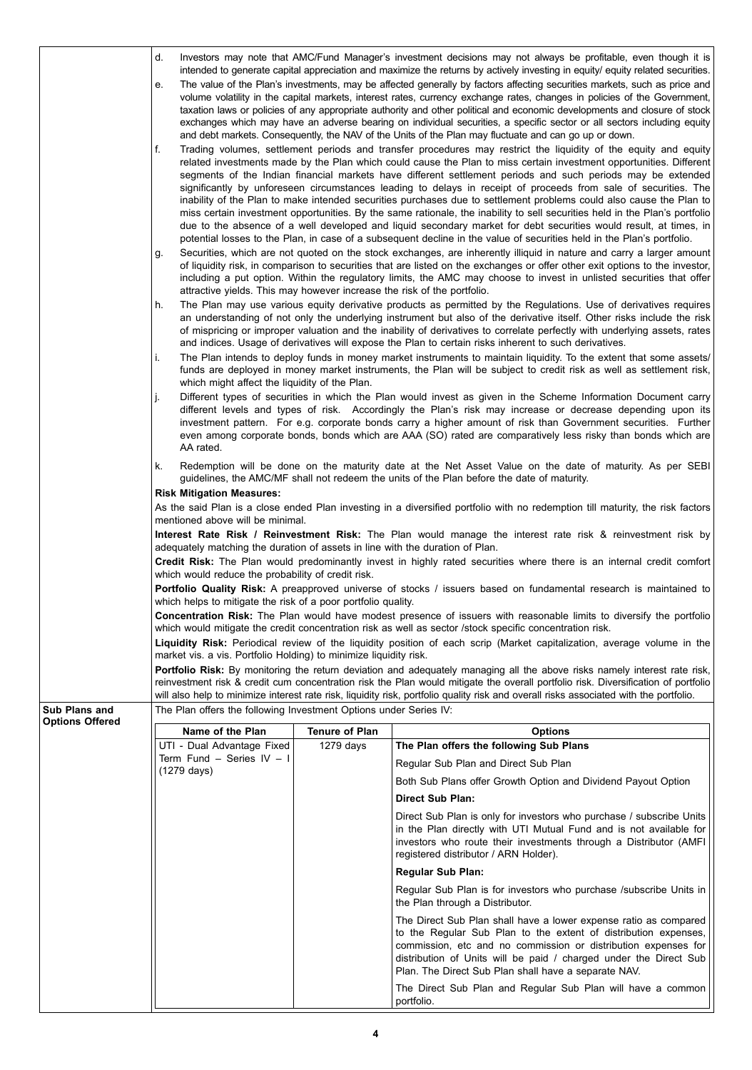|                        | d.<br>е.<br>f.<br>g.                                                          |                       | Investors may note that AMC/Fund Manager's investment decisions may not always be profitable, even though it is<br>intended to generate capital appreciation and maximize the returns by actively investing in equity/ equity related securities.<br>The value of the Plan's investments, may be affected generally by factors affecting securities markets, such as price and<br>volume volatility in the capital markets, interest rates, currency exchange rates, changes in policies of the Government,<br>taxation laws or policies of any appropriate authority and other political and economic developments and closure of stock<br>exchanges which may have an adverse bearing on individual securities, a specific sector or all sectors including equity<br>and debt markets. Consequently, the NAV of the Units of the Plan may fluctuate and can go up or down.<br>Trading volumes, settlement periods and transfer procedures may restrict the liquidity of the equity and equity<br>related investments made by the Plan which could cause the Plan to miss certain investment opportunities. Different<br>segments of the Indian financial markets have different settlement periods and such periods may be extended<br>significantly by unforeseen circumstances leading to delays in receipt of proceeds from sale of securities. The<br>inability of the Plan to make intended securities purchases due to settlement problems could also cause the Plan to<br>miss certain investment opportunities. By the same rationale, the inability to sell securities held in the Plan's portfolio<br>due to the absence of a well developed and liquid secondary market for debt securities would result, at times, in<br>potential losses to the Plan, in case of a subsequent decline in the value of securities held in the Plan's portfolio.<br>Securities, which are not quoted on the stock exchanges, are inherently illiquid in nature and carry a larger amount<br>of liquidity risk, in comparison to securities that are listed on the exchanges or offer other exit options to the investor,<br>including a put option. Within the regulatory limits, the AMC may choose to invest in unlisted securities that offer |
|------------------------|-------------------------------------------------------------------------------|-----------------------|-----------------------------------------------------------------------------------------------------------------------------------------------------------------------------------------------------------------------------------------------------------------------------------------------------------------------------------------------------------------------------------------------------------------------------------------------------------------------------------------------------------------------------------------------------------------------------------------------------------------------------------------------------------------------------------------------------------------------------------------------------------------------------------------------------------------------------------------------------------------------------------------------------------------------------------------------------------------------------------------------------------------------------------------------------------------------------------------------------------------------------------------------------------------------------------------------------------------------------------------------------------------------------------------------------------------------------------------------------------------------------------------------------------------------------------------------------------------------------------------------------------------------------------------------------------------------------------------------------------------------------------------------------------------------------------------------------------------------------------------------------------------------------------------------------------------------------------------------------------------------------------------------------------------------------------------------------------------------------------------------------------------------------------------------------------------------------------------------------------------------------------------------------------------------------------------------------------------------------------------------|
|                        | attractive yields. This may however increase the risk of the portfolio.<br>h. |                       | The Plan may use various equity derivative products as permitted by the Regulations. Use of derivatives requires<br>an understanding of not only the underlying instrument but also of the derivative itself. Other risks include the risk<br>of mispricing or improper valuation and the inability of derivatives to correlate perfectly with underlying assets, rates<br>and indices. Usage of derivatives will expose the Plan to certain risks inherent to such derivatives.                                                                                                                                                                                                                                                                                                                                                                                                                                                                                                                                                                                                                                                                                                                                                                                                                                                                                                                                                                                                                                                                                                                                                                                                                                                                                                                                                                                                                                                                                                                                                                                                                                                                                                                                                              |
|                        | i.<br>which might affect the liquidity of the Plan.<br>j.                     |                       | The Plan intends to deploy funds in money market instruments to maintain liquidity. To the extent that some assets/<br>funds are deployed in money market instruments, the Plan will be subject to credit risk as well as settlement risk,<br>Different types of securities in which the Plan would invest as given in the Scheme Information Document carry<br>different levels and types of risk. Accordingly the Plan's risk may increase or decrease depending upon its<br>investment pattern. For e.g. corporate bonds carry a higher amount of risk than Government securities. Further                                                                                                                                                                                                                                                                                                                                                                                                                                                                                                                                                                                                                                                                                                                                                                                                                                                                                                                                                                                                                                                                                                                                                                                                                                                                                                                                                                                                                                                                                                                                                                                                                                                 |
|                        | AA rated.<br>k.                                                               |                       | even among corporate bonds, bonds which are AAA (SO) rated are comparatively less risky than bonds which are<br>Redemption will be done on the maturity date at the Net Asset Value on the date of maturity. As per SEBI                                                                                                                                                                                                                                                                                                                                                                                                                                                                                                                                                                                                                                                                                                                                                                                                                                                                                                                                                                                                                                                                                                                                                                                                                                                                                                                                                                                                                                                                                                                                                                                                                                                                                                                                                                                                                                                                                                                                                                                                                      |
|                        | <b>Risk Mitigation Measures:</b>                                              |                       | guidelines, the AMC/MF shall not redeem the units of the Plan before the date of maturity.<br>As the said Plan is a close ended Plan investing in a diversified portfolio with no redemption till maturity, the risk factors                                                                                                                                                                                                                                                                                                                                                                                                                                                                                                                                                                                                                                                                                                                                                                                                                                                                                                                                                                                                                                                                                                                                                                                                                                                                                                                                                                                                                                                                                                                                                                                                                                                                                                                                                                                                                                                                                                                                                                                                                  |
|                        | mentioned above will be minimal.                                              |                       |                                                                                                                                                                                                                                                                                                                                                                                                                                                                                                                                                                                                                                                                                                                                                                                                                                                                                                                                                                                                                                                                                                                                                                                                                                                                                                                                                                                                                                                                                                                                                                                                                                                                                                                                                                                                                                                                                                                                                                                                                                                                                                                                                                                                                                               |
|                        | adequately matching the duration of assets in line with the duration of Plan. |                       | Interest Rate Risk / Reinvestment Risk: The Plan would manage the interest rate risk & reinvestment risk by                                                                                                                                                                                                                                                                                                                                                                                                                                                                                                                                                                                                                                                                                                                                                                                                                                                                                                                                                                                                                                                                                                                                                                                                                                                                                                                                                                                                                                                                                                                                                                                                                                                                                                                                                                                                                                                                                                                                                                                                                                                                                                                                   |
|                        | which would reduce the probability of credit risk.                            |                       | Credit Risk: The Plan would predominantly invest in highly rated securities where there is an internal credit comfort                                                                                                                                                                                                                                                                                                                                                                                                                                                                                                                                                                                                                                                                                                                                                                                                                                                                                                                                                                                                                                                                                                                                                                                                                                                                                                                                                                                                                                                                                                                                                                                                                                                                                                                                                                                                                                                                                                                                                                                                                                                                                                                         |
|                        | which helps to mitigate the risk of a poor portfolio quality.                 |                       | Portfolio Quality Risk: A preapproved universe of stocks / issuers based on fundamental research is maintained to                                                                                                                                                                                                                                                                                                                                                                                                                                                                                                                                                                                                                                                                                                                                                                                                                                                                                                                                                                                                                                                                                                                                                                                                                                                                                                                                                                                                                                                                                                                                                                                                                                                                                                                                                                                                                                                                                                                                                                                                                                                                                                                             |
|                        |                                                                               |                       | Concentration Risk: The Plan would have modest presence of issuers with reasonable limits to diversify the portfolio<br>which would mitigate the credit concentration risk as well as sector /stock specific concentration risk.                                                                                                                                                                                                                                                                                                                                                                                                                                                                                                                                                                                                                                                                                                                                                                                                                                                                                                                                                                                                                                                                                                                                                                                                                                                                                                                                                                                                                                                                                                                                                                                                                                                                                                                                                                                                                                                                                                                                                                                                              |
|                        | market vis. a vis. Portfolio Holding) to minimize liquidity risk.             |                       | Liquidity Risk: Periodical review of the liquidity position of each scrip (Market capitalization, average volume in the                                                                                                                                                                                                                                                                                                                                                                                                                                                                                                                                                                                                                                                                                                                                                                                                                                                                                                                                                                                                                                                                                                                                                                                                                                                                                                                                                                                                                                                                                                                                                                                                                                                                                                                                                                                                                                                                                                                                                                                                                                                                                                                       |
|                        |                                                                               |                       | <b>Portfolio Risk:</b> By monitoring the return deviation and adequately managing all the above risks namely interest rate risk,<br>reinvestment risk & credit cum concentration risk the Plan would mitigate the overall portfolio risk. Diversification of portfolio<br>will also help to minimize interest rate risk, liquidity risk, portfolio quality risk and overall risks associated with the portfolio.                                                                                                                                                                                                                                                                                                                                                                                                                                                                                                                                                                                                                                                                                                                                                                                                                                                                                                                                                                                                                                                                                                                                                                                                                                                                                                                                                                                                                                                                                                                                                                                                                                                                                                                                                                                                                              |
| Sub Plans and          | The Plan offers the following Investment Options under Series IV:             |                       |                                                                                                                                                                                                                                                                                                                                                                                                                                                                                                                                                                                                                                                                                                                                                                                                                                                                                                                                                                                                                                                                                                                                                                                                                                                                                                                                                                                                                                                                                                                                                                                                                                                                                                                                                                                                                                                                                                                                                                                                                                                                                                                                                                                                                                               |
| <b>Options Offered</b> | Name of the Plan                                                              | <b>Tenure of Plan</b> | <b>Options</b>                                                                                                                                                                                                                                                                                                                                                                                                                                                                                                                                                                                                                                                                                                                                                                                                                                                                                                                                                                                                                                                                                                                                                                                                                                                                                                                                                                                                                                                                                                                                                                                                                                                                                                                                                                                                                                                                                                                                                                                                                                                                                                                                                                                                                                |
|                        | UTI - Dual Advantage Fixed<br>Term Fund - Series IV - I                       | $1279$ days           | The Plan offers the following Sub Plans                                                                                                                                                                                                                                                                                                                                                                                                                                                                                                                                                                                                                                                                                                                                                                                                                                                                                                                                                                                                                                                                                                                                                                                                                                                                                                                                                                                                                                                                                                                                                                                                                                                                                                                                                                                                                                                                                                                                                                                                                                                                                                                                                                                                       |
|                        | (1279 days)                                                                   |                       | Regular Sub Plan and Direct Sub Plan                                                                                                                                                                                                                                                                                                                                                                                                                                                                                                                                                                                                                                                                                                                                                                                                                                                                                                                                                                                                                                                                                                                                                                                                                                                                                                                                                                                                                                                                                                                                                                                                                                                                                                                                                                                                                                                                                                                                                                                                                                                                                                                                                                                                          |
|                        |                                                                               |                       | Both Sub Plans offer Growth Option and Dividend Payout Option                                                                                                                                                                                                                                                                                                                                                                                                                                                                                                                                                                                                                                                                                                                                                                                                                                                                                                                                                                                                                                                                                                                                                                                                                                                                                                                                                                                                                                                                                                                                                                                                                                                                                                                                                                                                                                                                                                                                                                                                                                                                                                                                                                                 |
|                        |                                                                               |                       | Direct Sub Plan:                                                                                                                                                                                                                                                                                                                                                                                                                                                                                                                                                                                                                                                                                                                                                                                                                                                                                                                                                                                                                                                                                                                                                                                                                                                                                                                                                                                                                                                                                                                                                                                                                                                                                                                                                                                                                                                                                                                                                                                                                                                                                                                                                                                                                              |
|                        |                                                                               |                       | Direct Sub Plan is only for investors who purchase / subscribe Units<br>in the Plan directly with UTI Mutual Fund and is not available for<br>investors who route their investments through a Distributor (AMFI<br>registered distributor / ARN Holder).                                                                                                                                                                                                                                                                                                                                                                                                                                                                                                                                                                                                                                                                                                                                                                                                                                                                                                                                                                                                                                                                                                                                                                                                                                                                                                                                                                                                                                                                                                                                                                                                                                                                                                                                                                                                                                                                                                                                                                                      |
|                        |                                                                               |                       | <b>Regular Sub Plan:</b>                                                                                                                                                                                                                                                                                                                                                                                                                                                                                                                                                                                                                                                                                                                                                                                                                                                                                                                                                                                                                                                                                                                                                                                                                                                                                                                                                                                                                                                                                                                                                                                                                                                                                                                                                                                                                                                                                                                                                                                                                                                                                                                                                                                                                      |
|                        |                                                                               |                       | Regular Sub Plan is for investors who purchase /subscribe Units in<br>the Plan through a Distributor.                                                                                                                                                                                                                                                                                                                                                                                                                                                                                                                                                                                                                                                                                                                                                                                                                                                                                                                                                                                                                                                                                                                                                                                                                                                                                                                                                                                                                                                                                                                                                                                                                                                                                                                                                                                                                                                                                                                                                                                                                                                                                                                                         |
|                        |                                                                               |                       | The Direct Sub Plan shall have a lower expense ratio as compared<br>to the Regular Sub Plan to the extent of distribution expenses,<br>commission, etc and no commission or distribution expenses for<br>distribution of Units will be paid / charged under the Direct Sub<br>Plan. The Direct Sub Plan shall have a separate NAV.                                                                                                                                                                                                                                                                                                                                                                                                                                                                                                                                                                                                                                                                                                                                                                                                                                                                                                                                                                                                                                                                                                                                                                                                                                                                                                                                                                                                                                                                                                                                                                                                                                                                                                                                                                                                                                                                                                            |
|                        |                                                                               |                       | The Direct Sub Plan and Regular Sub Plan will have a common<br>portfolio.                                                                                                                                                                                                                                                                                                                                                                                                                                                                                                                                                                                                                                                                                                                                                                                                                                                                                                                                                                                                                                                                                                                                                                                                                                                                                                                                                                                                                                                                                                                                                                                                                                                                                                                                                                                                                                                                                                                                                                                                                                                                                                                                                                     |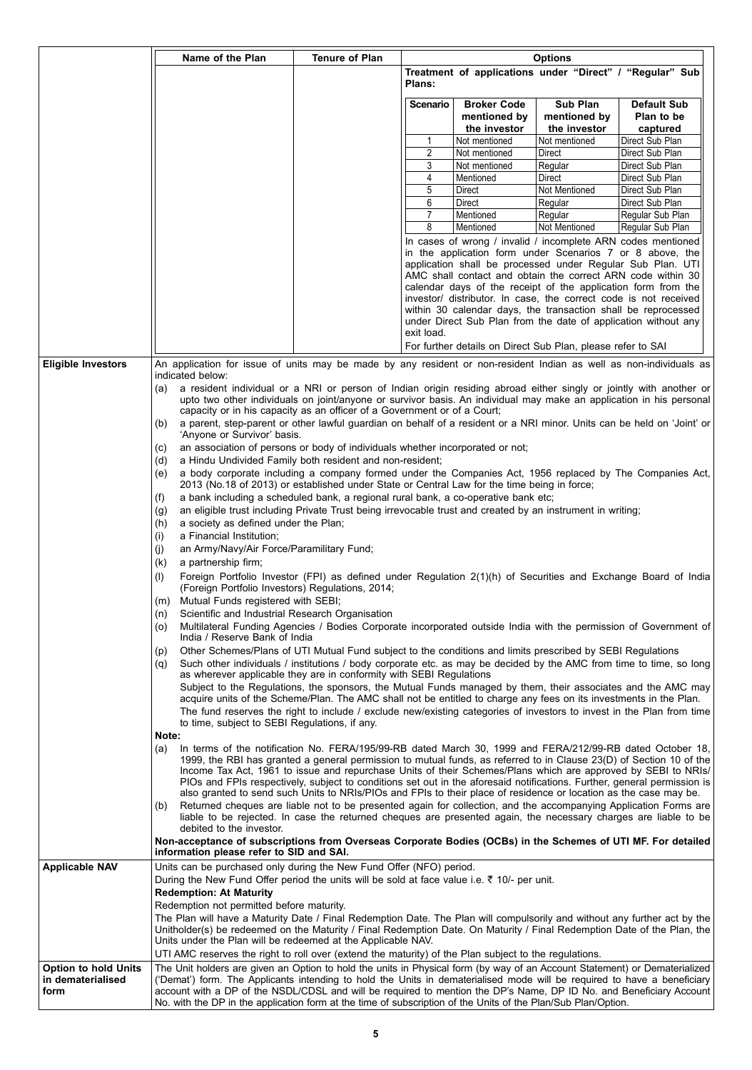|                             | Name of the Plan                                                                                                                                                                                                                                                                                                                                                  | <b>Tenure of Plan</b> |                |                                                             | <b>Options</b>                           |                                                                                                                                                                                                                                                                                                                                                                                                                                                                                                                                |
|-----------------------------|-------------------------------------------------------------------------------------------------------------------------------------------------------------------------------------------------------------------------------------------------------------------------------------------------------------------------------------------------------------------|-----------------------|----------------|-------------------------------------------------------------|------------------------------------------|--------------------------------------------------------------------------------------------------------------------------------------------------------------------------------------------------------------------------------------------------------------------------------------------------------------------------------------------------------------------------------------------------------------------------------------------------------------------------------------------------------------------------------|
|                             |                                                                                                                                                                                                                                                                                                                                                                   |                       | <b>Plans:</b>  |                                                             |                                          | Treatment of applications under "Direct" / "Regular" Sub                                                                                                                                                                                                                                                                                                                                                                                                                                                                       |
|                             |                                                                                                                                                                                                                                                                                                                                                                   |                       | Scenario       | <b>Broker Code</b><br>mentioned by<br>the investor          | Sub Plan<br>mentioned by<br>the investor | <b>Default Sub</b><br>Plan to be<br>captured                                                                                                                                                                                                                                                                                                                                                                                                                                                                                   |
|                             |                                                                                                                                                                                                                                                                                                                                                                   |                       | 1              | Not mentioned                                               | Not mentioned                            | Direct Sub Plan                                                                                                                                                                                                                                                                                                                                                                                                                                                                                                                |
|                             |                                                                                                                                                                                                                                                                                                                                                                   |                       | 2              | Not mentioned                                               | Direct                                   | Direct Sub Plan                                                                                                                                                                                                                                                                                                                                                                                                                                                                                                                |
|                             |                                                                                                                                                                                                                                                                                                                                                                   |                       | 3              | Not mentioned                                               | Regular                                  | Direct Sub Plan                                                                                                                                                                                                                                                                                                                                                                                                                                                                                                                |
|                             |                                                                                                                                                                                                                                                                                                                                                                   |                       | 4<br>5         | Mentioned<br>Direct                                         | Direct<br>Not Mentioned                  | Direct Sub Plan<br>Direct Sub Plan                                                                                                                                                                                                                                                                                                                                                                                                                                                                                             |
|                             |                                                                                                                                                                                                                                                                                                                                                                   |                       | 6              | Direct                                                      | Regular                                  | Direct Sub Plan                                                                                                                                                                                                                                                                                                                                                                                                                                                                                                                |
|                             |                                                                                                                                                                                                                                                                                                                                                                   |                       | $\overline{7}$ | Mentioned                                                   | Regular                                  | Regular Sub Plan                                                                                                                                                                                                                                                                                                                                                                                                                                                                                                               |
|                             |                                                                                                                                                                                                                                                                                                                                                                   |                       | 8              | Mentioned                                                   | Not Mentioned                            | Regular Sub Plan                                                                                                                                                                                                                                                                                                                                                                                                                                                                                                               |
|                             |                                                                                                                                                                                                                                                                                                                                                                   |                       | exit load.     | For further details on Direct Sub Plan, please refer to SAI |                                          | In cases of wrong / invalid / incomplete ARN codes mentioned<br>in the application form under Scenarios 7 or 8 above, the<br>application shall be processed under Regular Sub Plan. UTI<br>AMC shall contact and obtain the correct ARN code within 30<br>calendar days of the receipt of the application form from the<br>investor/ distributor. In case, the correct code is not received<br>within 30 calendar days, the transaction shall be reprocessed<br>under Direct Sub Plan from the date of application without any |
| <b>Eligible Investors</b>   | An application for issue of units may be made by any resident or non-resident Indian as well as non-individuals as                                                                                                                                                                                                                                                |                       |                |                                                             |                                          |                                                                                                                                                                                                                                                                                                                                                                                                                                                                                                                                |
|                             | indicated below:<br>a resident individual or a NRI or person of Indian origin residing abroad either singly or jointly with another or<br>(a)                                                                                                                                                                                                                     |                       |                |                                                             |                                          |                                                                                                                                                                                                                                                                                                                                                                                                                                                                                                                                |
|                             | upto two other individuals on joint/anyone or survivor basis. An individual may make an application in his personal<br>capacity or in his capacity as an officer of a Government or of a Court;                                                                                                                                                                   |                       |                |                                                             |                                          |                                                                                                                                                                                                                                                                                                                                                                                                                                                                                                                                |
|                             | a parent, step-parent or other lawful guardian on behalf of a resident or a NRI minor. Units can be held on 'Joint' or<br>(b)<br>'Anyone or Survivor' basis.                                                                                                                                                                                                      |                       |                |                                                             |                                          |                                                                                                                                                                                                                                                                                                                                                                                                                                                                                                                                |
|                             | an association of persons or body of individuals whether incorporated or not;<br>(C)                                                                                                                                                                                                                                                                              |                       |                |                                                             |                                          |                                                                                                                                                                                                                                                                                                                                                                                                                                                                                                                                |
|                             | a Hindu Undivided Family both resident and non-resident;<br>(d)                                                                                                                                                                                                                                                                                                   |                       |                |                                                             |                                          |                                                                                                                                                                                                                                                                                                                                                                                                                                                                                                                                |
|                             | a body corporate including a company formed under the Companies Act, 1956 replaced by The Companies Act,<br>(e)<br>2013 (No.18 of 2013) or established under State or Central Law for the time being in force;                                                                                                                                                    |                       |                |                                                             |                                          |                                                                                                                                                                                                                                                                                                                                                                                                                                                                                                                                |
|                             | a bank including a scheduled bank, a regional rural bank, a co-operative bank etc;<br>(t)                                                                                                                                                                                                                                                                         |                       |                |                                                             |                                          |                                                                                                                                                                                                                                                                                                                                                                                                                                                                                                                                |
|                             | an eligible trust including Private Trust being irrevocable trust and created by an instrument in writing;<br>(g)                                                                                                                                                                                                                                                 |                       |                |                                                             |                                          |                                                                                                                                                                                                                                                                                                                                                                                                                                                                                                                                |
|                             | a society as defined under the Plan;<br>(h)<br>a Financial Institution;<br>(i)                                                                                                                                                                                                                                                                                    |                       |                |                                                             |                                          |                                                                                                                                                                                                                                                                                                                                                                                                                                                                                                                                |
|                             | an Army/Navy/Air Force/Paramilitary Fund;<br>(i)                                                                                                                                                                                                                                                                                                                  |                       |                |                                                             |                                          |                                                                                                                                                                                                                                                                                                                                                                                                                                                                                                                                |
|                             | a partnership firm;<br>(k)                                                                                                                                                                                                                                                                                                                                        |                       |                |                                                             |                                          |                                                                                                                                                                                                                                                                                                                                                                                                                                                                                                                                |
|                             | Foreign Portfolio Investor (FPI) as defined under Regulation 2(1)(h) of Securities and Exchange Board of India<br>(1)<br>(Foreign Portfolio Investors) Regulations, 2014;                                                                                                                                                                                         |                       |                |                                                             |                                          |                                                                                                                                                                                                                                                                                                                                                                                                                                                                                                                                |
|                             | Mutual Funds registered with SEBI;<br>(m)                                                                                                                                                                                                                                                                                                                         |                       |                |                                                             |                                          |                                                                                                                                                                                                                                                                                                                                                                                                                                                                                                                                |
|                             | Scientific and Industrial Research Organisation<br>(n)                                                                                                                                                                                                                                                                                                            |                       |                |                                                             |                                          |                                                                                                                                                                                                                                                                                                                                                                                                                                                                                                                                |
|                             | Multilateral Funding Agencies / Bodies Corporate incorporated outside India with the permission of Government of<br>(O)<br>India / Reserve Bank of India                                                                                                                                                                                                          |                       |                |                                                             |                                          |                                                                                                                                                                                                                                                                                                                                                                                                                                                                                                                                |
|                             | Other Schemes/Plans of UTI Mutual Fund subject to the conditions and limits prescribed by SEBI Regulations<br>(p)                                                                                                                                                                                                                                                 |                       |                |                                                             |                                          |                                                                                                                                                                                                                                                                                                                                                                                                                                                                                                                                |
|                             | Such other individuals / institutions / body corporate etc. as may be decided by the AMC from time to time, so long<br>(q)                                                                                                                                                                                                                                        |                       |                |                                                             |                                          |                                                                                                                                                                                                                                                                                                                                                                                                                                                                                                                                |
|                             | as wherever applicable they are in conformity with SEBI Regulations                                                                                                                                                                                                                                                                                               |                       |                |                                                             |                                          |                                                                                                                                                                                                                                                                                                                                                                                                                                                                                                                                |
|                             | Subject to the Regulations, the sponsors, the Mutual Funds managed by them, their associates and the AMC may<br>acquire units of the Scheme/Plan. The AMC shall not be entitled to charge any fees on its investments in the Plan.                                                                                                                                |                       |                |                                                             |                                          |                                                                                                                                                                                                                                                                                                                                                                                                                                                                                                                                |
|                             | The fund reserves the right to include / exclude new/existing categories of investors to invest in the Plan from time                                                                                                                                                                                                                                             |                       |                |                                                             |                                          |                                                                                                                                                                                                                                                                                                                                                                                                                                                                                                                                |
|                             | to time, subject to SEBI Regulations, if any.                                                                                                                                                                                                                                                                                                                     |                       |                |                                                             |                                          |                                                                                                                                                                                                                                                                                                                                                                                                                                                                                                                                |
|                             | Note:<br>In terms of the notification No. FERA/195/99-RB dated March 30, 1999 and FERA/212/99-RB dated October 18,<br>(a)<br>1999, the RBI has granted a general permission to mutual funds, as referred to in Clause 23(D) of Section 10 of the<br>Income Tax Act, 1961 to issue and repurchase Units of their Schemes/Plans which are approved by SEBI to NRIs/ |                       |                |                                                             |                                          |                                                                                                                                                                                                                                                                                                                                                                                                                                                                                                                                |
|                             | PIOs and FPIs respectively, subject to conditions set out in the aforesaid notifications. Further, general permission is                                                                                                                                                                                                                                          |                       |                |                                                             |                                          |                                                                                                                                                                                                                                                                                                                                                                                                                                                                                                                                |
|                             | also granted to send such Units to NRIs/PIOs and FPIs to their place of residence or location as the case may be.                                                                                                                                                                                                                                                 |                       |                |                                                             |                                          |                                                                                                                                                                                                                                                                                                                                                                                                                                                                                                                                |
|                             | Returned cheques are liable not to be presented again for collection, and the accompanying Application Forms are<br>(b)<br>liable to be rejected. In case the returned cheques are presented again, the necessary charges are liable to be                                                                                                                        |                       |                |                                                             |                                          |                                                                                                                                                                                                                                                                                                                                                                                                                                                                                                                                |
|                             | debited to the investor.                                                                                                                                                                                                                                                                                                                                          |                       |                |                                                             |                                          |                                                                                                                                                                                                                                                                                                                                                                                                                                                                                                                                |
|                             | Non-acceptance of subscriptions from Overseas Corporate Bodies (OCBs) in the Schemes of UTI MF. For detailed<br>information please refer to SID and SAI.                                                                                                                                                                                                          |                       |                |                                                             |                                          |                                                                                                                                                                                                                                                                                                                                                                                                                                                                                                                                |
| <b>Applicable NAV</b>       | Units can be purchased only during the New Fund Offer (NFO) period.<br>During the New Fund Offer period the units will be sold at face value i.e. ₹ 10/- per unit.                                                                                                                                                                                                |                       |                |                                                             |                                          |                                                                                                                                                                                                                                                                                                                                                                                                                                                                                                                                |
|                             | <b>Redemption: At Maturity</b>                                                                                                                                                                                                                                                                                                                                    |                       |                |                                                             |                                          |                                                                                                                                                                                                                                                                                                                                                                                                                                                                                                                                |
|                             | Redemption not permitted before maturity.                                                                                                                                                                                                                                                                                                                         |                       |                |                                                             |                                          |                                                                                                                                                                                                                                                                                                                                                                                                                                                                                                                                |
|                             | The Plan will have a Maturity Date / Final Redemption Date. The Plan will compulsorily and without any further act by the                                                                                                                                                                                                                                         |                       |                |                                                             |                                          |                                                                                                                                                                                                                                                                                                                                                                                                                                                                                                                                |
|                             | Unitholder(s) be redeemed on the Maturity / Final Redemption Date. On Maturity / Final Redemption Date of the Plan, the                                                                                                                                                                                                                                           |                       |                |                                                             |                                          |                                                                                                                                                                                                                                                                                                                                                                                                                                                                                                                                |
|                             | Units under the Plan will be redeemed at the Applicable NAV.<br>UTI AMC reserves the right to roll over (extend the maturity) of the Plan subject to the regulations.                                                                                                                                                                                             |                       |                |                                                             |                                          |                                                                                                                                                                                                                                                                                                                                                                                                                                                                                                                                |
| <b>Option to hold Units</b> | The Unit holders are given an Option to hold the units in Physical form (by way of an Account Statement) or Dematerialized                                                                                                                                                                                                                                        |                       |                |                                                             |                                          |                                                                                                                                                                                                                                                                                                                                                                                                                                                                                                                                |
| in dematerialised<br>form   | ('Demat') form. The Applicants intending to hold the Units in dematerialised mode will be required to have a beneficiary<br>account with a DP of the NSDL/CDSL and will be required to mention the DP's Name, DP ID No. and Beneficiary Account<br>No. with the DP in the application form at the time of subscription of the Units of the Plan/Sub Plan/Option.  |                       |                |                                                             |                                          |                                                                                                                                                                                                                                                                                                                                                                                                                                                                                                                                |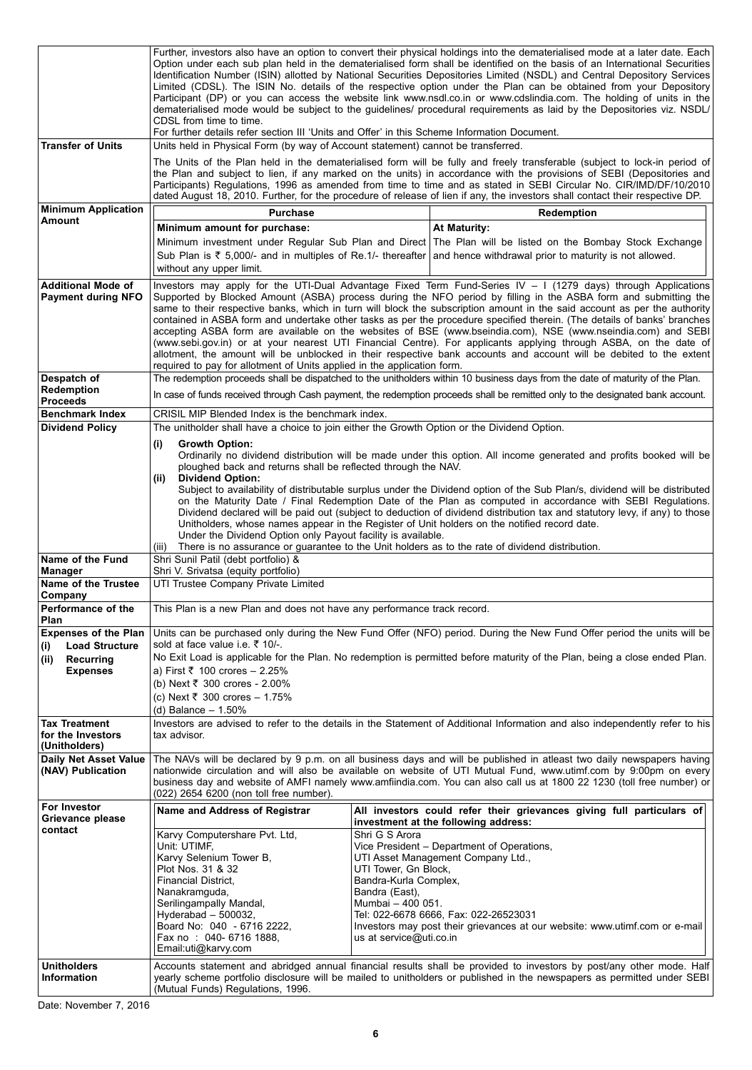| <b>Transfer of Units</b>                                    | CDSL from time to time.<br>For further details refer section III 'Units and Offer' in this Scheme Information Document.<br>Units held in Physical Form (by way of Account statement) cannot be transferred.                                                                                                                                                                                     |                                                                                                                                    | Further, investors also have an option to convert their physical holdings into the dematerialised mode at a later date. Each<br>Option under each sub plan held in the dematerialised form shall be identified on the basis of an International Securities<br>Identification Number (ISIN) allotted by National Securities Depositories Limited (NSDL) and Central Depository Services<br>Limited (CDSL). The ISIN No. details of the respective option under the Plan can be obtained from your Depository<br>Participant (DP) or you can access the website link www.nsdl.co.in or www.cdslindia.com. The holding of units in the<br>dematerialised mode would be subject to the guidelines/ procedural requirements as laid by the Depositories viz. NSDL/<br>The Units of the Plan held in the dematerialised form will be fully and freely transferable (subject to lock-in period of |
|-------------------------------------------------------------|-------------------------------------------------------------------------------------------------------------------------------------------------------------------------------------------------------------------------------------------------------------------------------------------------------------------------------------------------------------------------------------------------|------------------------------------------------------------------------------------------------------------------------------------|--------------------------------------------------------------------------------------------------------------------------------------------------------------------------------------------------------------------------------------------------------------------------------------------------------------------------------------------------------------------------------------------------------------------------------------------------------------------------------------------------------------------------------------------------------------------------------------------------------------------------------------------------------------------------------------------------------------------------------------------------------------------------------------------------------------------------------------------------------------------------------------------|
|                                                             |                                                                                                                                                                                                                                                                                                                                                                                                 |                                                                                                                                    | the Plan and subject to lien, if any marked on the units) in accordance with the provisions of SEBI (Depositories and<br>Participants) Regulations, 1996 as amended from time to time and as stated in SEBI Circular No. CIR/IMD/DF/10/2010<br>dated August 18, 2010. Further, for the procedure of release of lien if any, the investors shall contact their respective DP.                                                                                                                                                                                                                                                                                                                                                                                                                                                                                                               |
| <b>Minimum Application</b><br>Amount                        | <b>Purchase</b>                                                                                                                                                                                                                                                                                                                                                                                 |                                                                                                                                    | Redemption                                                                                                                                                                                                                                                                                                                                                                                                                                                                                                                                                                                                                                                                                                                                                                                                                                                                                 |
|                                                             | Minimum amount for purchase:<br>without any upper limit.                                                                                                                                                                                                                                                                                                                                        |                                                                                                                                    | <b>At Maturity:</b><br>Minimum investment under Regular Sub Plan and Direct The Plan will be listed on the Bombay Stock Exchange<br>Sub Plan is ₹ 5,000/- and in multiples of Re.1/- thereafter and hence withdrawal prior to maturity is not allowed.                                                                                                                                                                                                                                                                                                                                                                                                                                                                                                                                                                                                                                     |
| <b>Additional Mode of</b><br><b>Payment during NFO</b>      | required to pay for allotment of Units applied in the application form.                                                                                                                                                                                                                                                                                                                         |                                                                                                                                    | Investors may apply for the UTI-Dual Advantage Fixed Term Fund-Series IV $-1$ (1279 days) through Applications<br>Supported by Blocked Amount (ASBA) process during the NFO period by filling in the ASBA form and submitting the<br>same to their respective banks, which in turn will block the subscription amount in the said account as per the authority<br>contained in ASBA form and undertake other tasks as per the procedure specified therein. (The details of banks' branches<br>accepting ASBA form are available on the websites of BSE (www.bseindia.com), NSE (www.nseindia.com) and SEBI<br>(www.sebi.gov.in) or at your nearest UTI Financial Centre). For applicants applying through ASBA, on the date of<br>allotment, the amount will be unblocked in their respective bank accounts and account will be debited to the extent                                      |
| Despatch of<br><b>Redemption</b><br><b>Proceeds</b>         |                                                                                                                                                                                                                                                                                                                                                                                                 |                                                                                                                                    | The redemption proceeds shall be dispatched to the unitholders within 10 business days from the date of maturity of the Plan.<br>In case of funds received through Cash payment, the redemption proceeds shall be remitted only to the designated bank account.                                                                                                                                                                                                                                                                                                                                                                                                                                                                                                                                                                                                                            |
| <b>Benchmark Index</b>                                      | CRISIL MIP Blended Index is the benchmark index.                                                                                                                                                                                                                                                                                                                                                |                                                                                                                                    |                                                                                                                                                                                                                                                                                                                                                                                                                                                                                                                                                                                                                                                                                                                                                                                                                                                                                            |
| <b>Dividend Policy</b>                                      | The unitholder shall have a choice to join either the Growth Option or the Dividend Option.<br><b>Growth Option:</b><br>(i)<br>ploughed back and returns shall be reflected through the NAV.<br><b>Dividend Option:</b><br>(ii)<br>Unitholders, whose names appear in the Register of Unit holders on the notified record date.<br>Under the Dividend Option only Payout facility is available. |                                                                                                                                    | Ordinarily no dividend distribution will be made under this option. All income generated and profits booked will be<br>Subject to availability of distributable surplus under the Dividend option of the Sub Plan/s, dividend will be distributed<br>on the Maturity Date / Final Redemption Date of the Plan as computed in accordance with SEBI Regulations.<br>Dividend declared will be paid out (subject to deduction of dividend distribution tax and statutory levy, if any) to those                                                                                                                                                                                                                                                                                                                                                                                               |
| Name of the Fund                                            | There is no assurance or guarantee to the Unit holders as to the rate of dividend distribution.<br>(iii)<br>Shri Sunil Patil (debt portfolio) &                                                                                                                                                                                                                                                 |                                                                                                                                    |                                                                                                                                                                                                                                                                                                                                                                                                                                                                                                                                                                                                                                                                                                                                                                                                                                                                                            |
| <b>Manager</b><br>Name of the Trustee<br>Company            | Shri V. Srivatsa (equity portfolio)<br>UTI Trustee Company Private Limited                                                                                                                                                                                                                                                                                                                      |                                                                                                                                    |                                                                                                                                                                                                                                                                                                                                                                                                                                                                                                                                                                                                                                                                                                                                                                                                                                                                                            |
| Performance of the                                          | This Plan is a new Plan and does not have any performance track record.                                                                                                                                                                                                                                                                                                                         |                                                                                                                                    |                                                                                                                                                                                                                                                                                                                                                                                                                                                                                                                                                                                                                                                                                                                                                                                                                                                                                            |
| Plan                                                        |                                                                                                                                                                                                                                                                                                                                                                                                 |                                                                                                                                    |                                                                                                                                                                                                                                                                                                                                                                                                                                                                                                                                                                                                                                                                                                                                                                                                                                                                                            |
| <b>Expenses of the Plan</b><br><b>Load Structure</b><br>(i) | sold at face value i.e. ₹ 10/-.                                                                                                                                                                                                                                                                                                                                                                 |                                                                                                                                    | Units can be purchased only during the New Fund Offer (NFO) period. During the New Fund Offer period the units will be                                                                                                                                                                                                                                                                                                                                                                                                                                                                                                                                                                                                                                                                                                                                                                     |
| (ii)<br>Recurring<br><b>Expenses</b>                        | a) First ₹ 100 crores – 2.25%<br>(b) Next ₹ 300 crores - 2.00%<br>(c) Next ₹ 300 crores - 1.75%                                                                                                                                                                                                                                                                                                 |                                                                                                                                    | No Exit Load is applicable for the Plan. No redemption is permitted before maturity of the Plan, being a close ended Plan.                                                                                                                                                                                                                                                                                                                                                                                                                                                                                                                                                                                                                                                                                                                                                                 |
|                                                             | (d) Balance - 1.50%                                                                                                                                                                                                                                                                                                                                                                             |                                                                                                                                    |                                                                                                                                                                                                                                                                                                                                                                                                                                                                                                                                                                                                                                                                                                                                                                                                                                                                                            |
| <b>Tax Treatment</b><br>for the Investors<br>(Unitholders)  | tax advisor.                                                                                                                                                                                                                                                                                                                                                                                    |                                                                                                                                    | Investors are advised to refer to the details in the Statement of Additional Information and also independently refer to his                                                                                                                                                                                                                                                                                                                                                                                                                                                                                                                                                                                                                                                                                                                                                               |
| <b>Daily Net Asset Value</b><br>(NAV) Publication           | (022) 2654 6200 (non toll free number).                                                                                                                                                                                                                                                                                                                                                         |                                                                                                                                    | The NAVs will be declared by 9 p.m. on all business days and will be published in atleast two daily newspapers having<br>nationwide circulation and will also be available on website of UTI Mutual Fund, www.utimf.com by 9:00pm on every<br>business day and website of AMFI namely www.amfiindia.com. You can also call us at 1800 22 1230 (toll free number) or                                                                                                                                                                                                                                                                                                                                                                                                                                                                                                                        |
| For Investor<br>Grievance please<br>contact                 | Name and Address of Registrar<br>Karvy Computershare Pvt. Ltd,<br>Unit: UTIMF,<br>Karvy Selenium Tower B,<br>Plot Nos. 31 & 32<br>Financial District.<br>Nanakramguda,<br>Serilingampally Mandal,<br>Hyderabad $-500032$ ,<br>Board No: 040 - 6716 2222,<br>Fax no: 040-6716 1888,<br>Email:uti@karvy.com                                                                                       | Shri G S Arora<br>UTI Tower, Gn Block,<br>Bandra-Kurla Complex,<br>Bandra (East),<br>Mumbai -- 400 051.<br>us at service@uti.co.in | All investors could refer their grievances giving full particulars of<br>investment at the following address:<br>Vice President - Department of Operations,<br>UTI Asset Management Company Ltd.,<br>Tel: 022-6678 6666, Fax: 022-26523031<br>Investors may post their grievances at our website: www.utimf.com or e-mail                                                                                                                                                                                                                                                                                                                                                                                                                                                                                                                                                                  |
| <b>Unitholders</b>                                          |                                                                                                                                                                                                                                                                                                                                                                                                 |                                                                                                                                    | Accounts statement and abridged annual financial results shall be provided to investors by post/any other mode. Half                                                                                                                                                                                                                                                                                                                                                                                                                                                                                                                                                                                                                                                                                                                                                                       |
| Information                                                 | (Mutual Funds) Regulations, 1996.                                                                                                                                                                                                                                                                                                                                                               |                                                                                                                                    | yearly scheme portfolio disclosure will be mailed to unitholders or published in the newspapers as permitted under SEBI                                                                                                                                                                                                                                                                                                                                                                                                                                                                                                                                                                                                                                                                                                                                                                    |

Date: November 7, 2016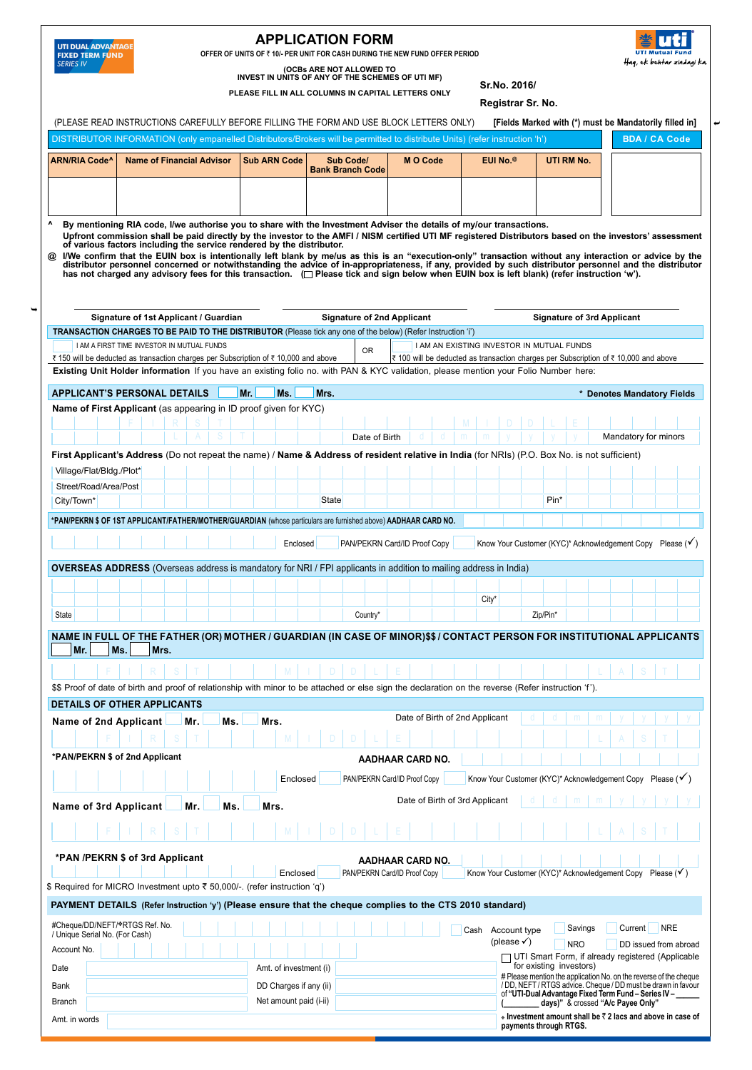

## **APPLICATION FORM**

**Offer of Units of** ` **10/- per unit for cash during the New Fund Offer Period**

**PLEASE fill in all columNS in capital letterS only**



**(OCBs are not allowed to invest in units of any of the schemes of UTI MF)**

**Sr.No. 2016/**

**Registrar Sr. No.**

**^ By mentioning RIA code, I/we authorise you to share with the Investment Adviser the details of my/our transactions.** Upfront commission shall be paid directly by the investor to the AMFI / NISM certified UTI MF registered Distributors based on the investors' assessment<br>of various factors including the service rendered by the distributor. @ I/We confirm that the EUIN box is intentionally left blank by me/us as this is an "execution-only" transaction without any interaction or advice by the distributor personnel concerned or notwithstanding the advice of in **TRANSACTION CHARGES TO BE PAID TO THE DISTRIBUTOR** (Please tick any one of the below) (Refer Instruction 'i') I AM A FIRST TIME INVESTOR IN MUTUAL FUNDS<br>
The deducted as transaction charges per Subscription of  $\frac{1}{3}$  and above  $\frac{1}{3}$  100 will be deducted as transaction charges per Subscription of  $\frac{1}{3}$  100 will be deduct  $\bar{\tau}$  100 will be deducted as transaction charges per Subscription of  $\bar{\tau}$  10,000 and above **Existing Unit Holder information** If you have an existing folio no. with PAN & KYC validation, please mention your Folio Number here:  $\Box$  PAN/PEKRN Card/ID Proof Copy Know Your Customer (KYC)\* Acknowledgement Copy Please ( $\checkmark$ ) **Name of First Applicant** (as appearing in ID proof given for KYC) **First Applicant's Address** (Do not repeat the name) / **Name & Address of resident relative in India** (for NRIs) (P.O. Box No. is not sufficient) Village/Flat/Bldg./Plot\* City/Town\* Rin\* Rin\* State Pin\* State Pin\* State Pin\* Pin\* Pin\* Street/Road/Area/Post F I R S T M I D D L E L a s t Date of Birth d d m m y y y y Mandatory for minors **APPLICANT'S PERSONAL DETAILS Mr. Ms. Mrs. Mrs. Mrs. APPLICANT'S PERSONAL DETAILS Mandatory Fields \*PAN/pekrn \$ of 1st Applicant/Father/Mother/Guardian** (whose particulars are furnished above) **AAdhaar Card No.** <sup>Ê</sup> **Signature of 1st Applicant / Guardian Signature of 2nd Applicant Signature of 3rd Applicant \*PAN /PEKRN \$ of 3rd Applicant** Name of 2nd Applicant Mr. Mrs. Mrs. Mrs. Mrs. Date of Birth of 2nd Applicant Date of Birth of 3rd Applicant d | d | m | m | y | y | y | y d | d | m | m | y | y | y | y **\*PAN/PEKRN \$ of 2nd Applicant** Name of 3rd Applicant Mr. Ms. Mrs. F I R S T M I D D L E L A S T Enclosed PAN/PEKRN Card/ID Proof Copy Know Your Customer (KYC)\* Acknowledgement Copy Please (V) F I R S T M I D D L E L A S T Enclosed PAN/PEKRN Card/ID Proof Copy Know Your Customer (KYC)\* Acknowledgement Copy Please (V) **DETAILS OF OTHER APPLICANTS AAdhaar Card No. AAdhaar Card No. BDA / CA Code ARN/RIA Code^ Name of Financial Advisor Sub ARN Code Sub Code/ M O Code EUI No.@ UTI RM No. Bank Branch Code**  DISTRIBUTOR INFORMATION (only empanelled Distributors/Brokers will be permitted to distribute Units) (refer instruction 'h') City<sup>\*</sup> State II I I I I I I I I Country\* I I I I I I I Zip/Pin\* **Overseas Address** (Overseas address is mandatory for NRI / FPI applicants in addition to mailing address in India) Amt. in words **payment details (Refer Instruction 'y') (Please ensure that the cheque complies to the CTS 2010 standard)** Account No. **Date** Bank Branch Amt. of investment (i) DD Charges if any (ii) Net amount paid (i-ii) UTI Smart Form, if already registered (Applicable for existing investors) # Please mention the application No. on the reverse of the cheque<br>/ DD, NEFT / RTGS advice. Cheque / DD must be drawn in favour<br>of "**UTI-Dual Advantage Fixed Term Fund – Series IV – \_\_\_\_\_\_**<br>(\_\_\_\_\_\_\_\_\_ **days)**" & crossed "A  **Investment amount shall be** ` **2 lacs and above in case of payments through RTGS.** #Cheque/DD/NEFT/\*RTGS Ref. No.<br>/ Unique Serial No. (For Cash) Cash Account type Savings Current NRE  $(please \checkmark)$  NRO DD issued from abroad Cash Account type \$\$ Proof of date of birth and proof of relationship with minor to be attached or else sign the declaration on the reverse (Refer instruction 'f '). F I R S T M I D D L E L A S T **Name in full of the Father (OR) Mother / Guardian (In case of minor)\$\$ / Contact person for institutional applicants**  $|Mr.|$  Ms. Mrs. (PLEASE READ INSTRUCTIONS CAREFULLY BEFORE FILLING THE FORM AND USE BLOCK LETTERS ONLY) **[Fields Marked with (\*) must be Mandatorily filled in**] \$ Required for MICRO Investment upto ₹ 50,000/-. (refer instruction 'q')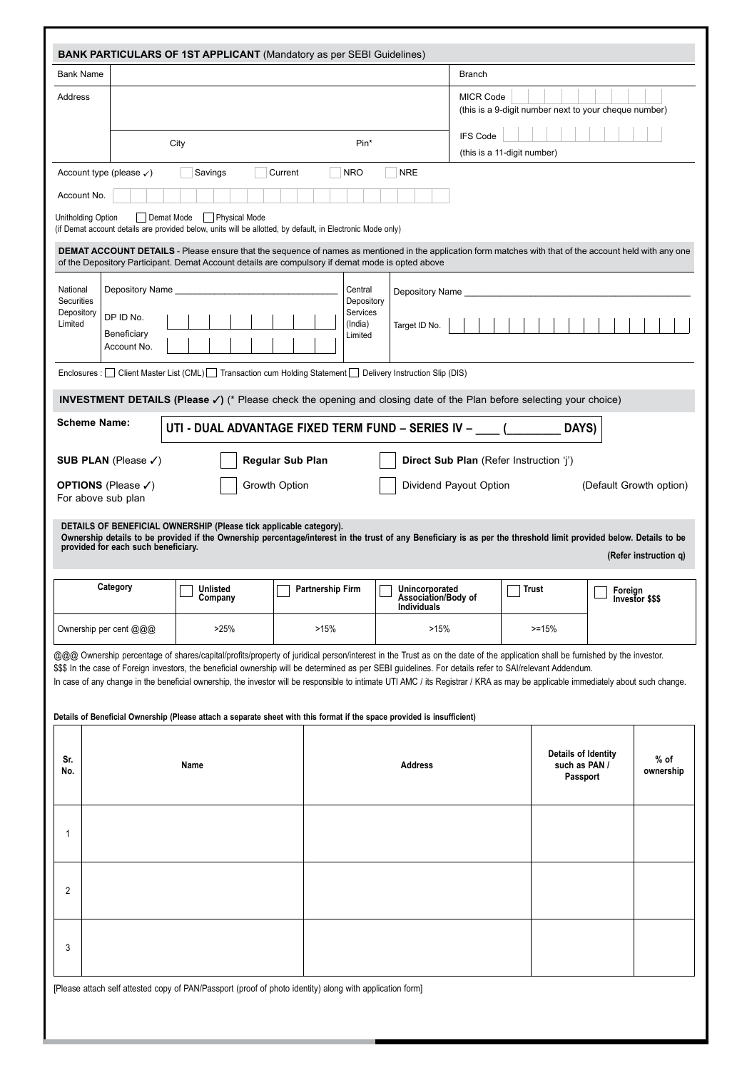| <b>Bank Name</b>                    |                                                             |                                                                                                                                                                                                                                                                                                                                                                                                                                                                                                                                                                                                                                                         |                         |                                              |                                                  | <b>Branch</b>                           |                             |                                                       |         |                                                  |
|-------------------------------------|-------------------------------------------------------------|---------------------------------------------------------------------------------------------------------------------------------------------------------------------------------------------------------------------------------------------------------------------------------------------------------------------------------------------------------------------------------------------------------------------------------------------------------------------------------------------------------------------------------------------------------------------------------------------------------------------------------------------------------|-------------------------|----------------------------------------------|--------------------------------------------------|-----------------------------------------|-----------------------------|-------------------------------------------------------|---------|--------------------------------------------------|
| Address                             |                                                             |                                                                                                                                                                                                                                                                                                                                                                                                                                                                                                                                                                                                                                                         |                         |                                              |                                                  | <b>MICR Code</b>                        |                             | (this is a 9-digit number next to your cheque number) |         |                                                  |
|                                     |                                                             |                                                                                                                                                                                                                                                                                                                                                                                                                                                                                                                                                                                                                                                         |                         |                                              |                                                  | <b>IFS Code</b>                         |                             |                                                       |         |                                                  |
|                                     |                                                             | City                                                                                                                                                                                                                                                                                                                                                                                                                                                                                                                                                                                                                                                    |                         | Pin*                                         |                                                  |                                         | (this is a 11-digit number) |                                                       |         |                                                  |
|                                     | Account type (please $\checkmark$ )                         | Savings                                                                                                                                                                                                                                                                                                                                                                                                                                                                                                                                                                                                                                                 | Current                 | <b>NRO</b>                                   | <b>NRE</b>                                       |                                         |                             |                                                       |         |                                                  |
| Account No.                         |                                                             |                                                                                                                                                                                                                                                                                                                                                                                                                                                                                                                                                                                                                                                         |                         |                                              |                                                  |                                         |                             |                                                       |         |                                                  |
| Unitholding Option                  | Demat Mode                                                  | Physical Mode<br>(if Demat account details are provided below, units will be allotted, by default, in Electronic Mode only)                                                                                                                                                                                                                                                                                                                                                                                                                                                                                                                             |                         |                                              |                                                  |                                         |                             |                                                       |         |                                                  |
|                                     |                                                             | <b>DEMAT ACCOUNT DETAILS</b> - Please ensure that the sequence of names as mentioned in the application form matches with that of the account held with any one<br>of the Depository Participant. Demat Account details are compulsory if demat mode is opted above                                                                                                                                                                                                                                                                                                                                                                                     |                         |                                              |                                                  |                                         |                             |                                                       |         |                                                  |
| National                            | Depository Name                                             |                                                                                                                                                                                                                                                                                                                                                                                                                                                                                                                                                                                                                                                         |                         | Central                                      | Depository Name                                  |                                         |                             |                                                       |         |                                                  |
| Securities<br>Depository<br>Limited | DP ID No.<br>Beneficiary<br>Account No.                     |                                                                                                                                                                                                                                                                                                                                                                                                                                                                                                                                                                                                                                                         |                         | Depository<br>Services<br>(India)<br>Limited | Target ID No.                                    |                                         |                             |                                                       |         |                                                  |
|                                     |                                                             | Enclosures : $\Box$ Client Master List (CML) $\Box$ Transaction cum Holding Statement $\Box$ Delivery Instruction Slip (DIS)                                                                                                                                                                                                                                                                                                                                                                                                                                                                                                                            |                         |                                              |                                                  |                                         |                             |                                                       |         |                                                  |
|                                     |                                                             | <b>INVESTMENT DETAILS (Please v)</b> (* Please check the opening and closing date of the Plan before selecting your choice)                                                                                                                                                                                                                                                                                                                                                                                                                                                                                                                             |                         |                                              |                                                  |                                         |                             |                                                       |         |                                                  |
|                                     | <b>Scheme Name:</b>                                         | UTI - DUAL ADVANTAGE FIXED TERM FUND - SERIES IV -                                                                                                                                                                                                                                                                                                                                                                                                                                                                                                                                                                                                      |                         |                                              |                                                  |                                         |                             | DAYS)                                                 |         |                                                  |
|                                     |                                                             |                                                                                                                                                                                                                                                                                                                                                                                                                                                                                                                                                                                                                                                         |                         |                                              |                                                  | Direct Sub Plan (Refer Instruction 'i') |                             |                                                       |         |                                                  |
|                                     | SUB PLAN (Please $\checkmark$ )                             |                                                                                                                                                                                                                                                                                                                                                                                                                                                                                                                                                                                                                                                         | <b>Regular Sub Plan</b> |                                              |                                                  |                                         |                             |                                                       |         |                                                  |
|                                     | <b>OPTIONS</b> (Please $\checkmark$ )<br>For above sub plan |                                                                                                                                                                                                                                                                                                                                                                                                                                                                                                                                                                                                                                                         | Growth Option           |                                              |                                                  | Dividend Payout Option                  |                             |                                                       |         |                                                  |
|                                     | provided for each such beneficiary.                         | DETAILS OF BENEFICIAL OWNERSHIP (Please tick applicable category).<br>Ownership details to be provided if the Ownership percentage/interest in the trust of any Beneficiary is as per the threshold limit provided below. Details to be                                                                                                                                                                                                                                                                                                                                                                                                                 |                         |                                              |                                                  |                                         |                             |                                                       |         | (Default Growth option)<br>(Refer instruction q) |
|                                     | Category                                                    | Unlisted                                                                                                                                                                                                                                                                                                                                                                                                                                                                                                                                                                                                                                                | <b>Partnership Firm</b> |                                              | Unincorporated                                   |                                         |                             | Trust                                                 | Foreian |                                                  |
|                                     |                                                             | Company                                                                                                                                                                                                                                                                                                                                                                                                                                                                                                                                                                                                                                                 |                         |                                              | <b>Association/Body of</b><br><b>Individuals</b> |                                         |                             |                                                       | —       | Investor \$\$\$                                  |
|                                     | Ownership per cent @@@                                      | >25%                                                                                                                                                                                                                                                                                                                                                                                                                                                                                                                                                                                                                                                    | >15%                    |                                              | >15%                                             |                                         |                             | $>=15%$                                               |         |                                                  |
|                                     |                                                             | @@@ Ownership percentage of shares/capital/profits/property of juridical person/interest in the Trust as on the date of the application shall be furnished by the investor.<br>\$\$\$ In the case of Foreign investors, the beneficial ownership will be determined as per SEBI guidelines. For details refer to SAI/relevant Addendum.<br>In case of any change in the beneficial ownership, the investor will be responsible to intimate UTI AMC / its Registrar / KRA as may be applicable immediately about such change.<br>Details of Beneficial Ownership (Please attach a separate sheet with this format if the space provided is insufficient) |                         |                                              |                                                  |                                         |                             |                                                       |         |                                                  |
|                                     |                                                             | Name                                                                                                                                                                                                                                                                                                                                                                                                                                                                                                                                                                                                                                                    |                         |                                              | <b>Address</b>                                   |                                         |                             | Details of Identity<br>such as PAN /<br>Passport      |         | $%$ of                                           |
| 1                                   |                                                             |                                                                                                                                                                                                                                                                                                                                                                                                                                                                                                                                                                                                                                                         |                         |                                              |                                                  |                                         |                             |                                                       |         | ownership                                        |
| Sr.<br>No.<br>2                     |                                                             |                                                                                                                                                                                                                                                                                                                                                                                                                                                                                                                                                                                                                                                         |                         |                                              |                                                  |                                         |                             |                                                       |         |                                                  |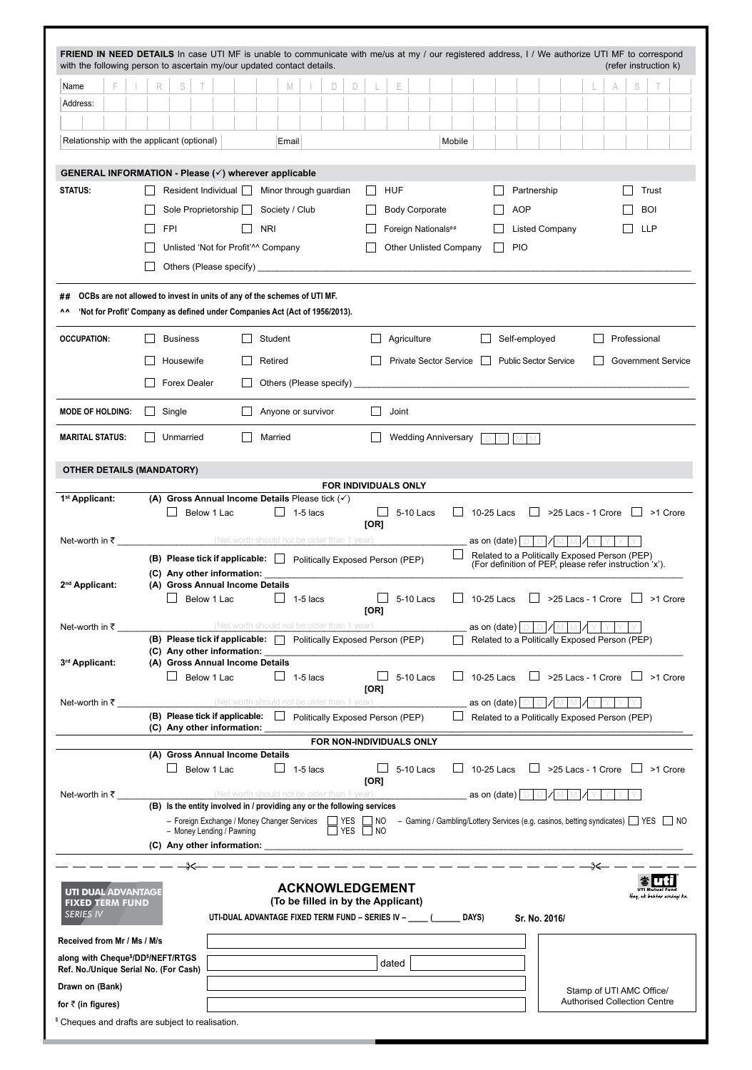| with the following person to ascertain my/our updated contact details.                                                                                              |              |                                                                                                                                                                        |                      |                               |                 |                                                                                                           |                        |       |                                                                              |        |              |              |                                                                    |                                                                                                         |                          |                |                           |                           | (refer instruction k) |
|---------------------------------------------------------------------------------------------------------------------------------------------------------------------|--------------|------------------------------------------------------------------------------------------------------------------------------------------------------------------------|----------------------|-------------------------------|-----------------|-----------------------------------------------------------------------------------------------------------|------------------------|-------|------------------------------------------------------------------------------|--------|--------------|--------------|--------------------------------------------------------------------|---------------------------------------------------------------------------------------------------------|--------------------------|----------------|---------------------------|---------------------------|-----------------------|
| Name                                                                                                                                                                | R            | S                                                                                                                                                                      |                      |                               | M               | D                                                                                                         | D                      | Е     |                                                                              |        |              |              |                                                                    |                                                                                                         |                          |                | S                         |                           |                       |
| Address:                                                                                                                                                            |              |                                                                                                                                                                        |                      |                               |                 |                                                                                                           |                        |       |                                                                              |        |              |              |                                                                    |                                                                                                         |                          |                |                           |                           |                       |
|                                                                                                                                                                     |              |                                                                                                                                                                        |                      |                               |                 |                                                                                                           |                        |       |                                                                              |        |              |              |                                                                    |                                                                                                         |                          |                |                           |                           |                       |
| Relationship with the applicant (optional)                                                                                                                          |              |                                                                                                                                                                        |                      |                               | Email           |                                                                                                           |                        |       |                                                                              | Mobile |              |              |                                                                    |                                                                                                         |                          |                |                           |                           |                       |
| GENERAL INFORMATION - Please (√) wherever applicable                                                                                                                |              |                                                                                                                                                                        |                      |                               |                 |                                                                                                           |                        |       |                                                                              |        |              |              |                                                                    |                                                                                                         |                          |                |                           |                           |                       |
| <b>STATUS:</b>                                                                                                                                                      |              | Resident Individual                                                                                                                                                    |                      |                               |                 | Minor through guardian                                                                                    |                        | HUF   |                                                                              |        |              |              | Partnership                                                        |                                                                                                         |                          |                |                           | Trust                     |                       |
|                                                                                                                                                                     |              | Sole Proprietorship                                                                                                                                                    |                      | Society / Club                |                 |                                                                                                           |                        |       | <b>Body Corporate</b>                                                        |        |              |              | <b>AOP</b>                                                         |                                                                                                         |                          |                |                           | <b>BOI</b>                |                       |
|                                                                                                                                                                     |              | <b>FPI</b>                                                                                                                                                             |                      | <b>NRI</b>                    |                 |                                                                                                           |                        |       | Foreign Nationals##                                                          |        |              |              |                                                                    | <b>Listed Company</b>                                                                                   |                          |                |                           | <b>LLP</b>                |                       |
|                                                                                                                                                                     |              | Unlisted 'Not for Profit'^^ Company                                                                                                                                    |                      |                               |                 |                                                                                                           |                        |       | <b>Other Unlisted Company</b>                                                |        |              | $\mathsf{L}$ | <b>PIO</b>                                                         |                                                                                                         |                          |                |                           |                           |                       |
|                                                                                                                                                                     |              |                                                                                                                                                                        |                      |                               |                 |                                                                                                           |                        |       |                                                                              |        |              |              |                                                                    |                                                                                                         |                          |                |                           |                           |                       |
| OCBs are not allowed to invest in units of any of the schemes of UTI MF.<br>##<br>'Not for Profit' Company as defined under Companies Act (Act of 1956/2013).<br>^^ |              |                                                                                                                                                                        |                      |                               |                 |                                                                                                           |                        |       |                                                                              |        |              |              |                                                                    |                                                                                                         |                          |                |                           |                           |                       |
| <b>OCCUPATION:</b>                                                                                                                                                  |              | <b>Business</b>                                                                                                                                                        |                      | Student                       |                 |                                                                                                           |                        |       | Agriculture                                                                  |        |              |              | Self-employed                                                      |                                                                                                         |                          |                | Professional              |                           |                       |
|                                                                                                                                                                     |              | Housewife                                                                                                                                                              |                      | Retired                       |                 |                                                                                                           |                        |       | Private Sector Service                                                       |        | $\mathbf{I}$ |              | <b>Public Sector Service</b>                                       |                                                                                                         |                          |                |                           | <b>Government Service</b> |                       |
|                                                                                                                                                                     |              | <b>Forex Dealer</b>                                                                                                                                                    |                      |                               |                 | Others (Please specify)                                                                                   |                        |       |                                                                              |        |              |              |                                                                    |                                                                                                         |                          |                |                           |                           |                       |
| <b>MODE OF HOLDING:</b>                                                                                                                                             |              |                                                                                                                                                                        |                      |                               |                 |                                                                                                           | $\Box$                 |       |                                                                              |        |              |              |                                                                    |                                                                                                         |                          |                |                           |                           |                       |
| <b>MARITAL STATUS:</b>                                                                                                                                              | $\mathsf{L}$ | Single<br>Unmarried                                                                                                                                                    |                      | Anyone or survivor<br>Married |                 |                                                                                                           |                        | Joint | <b>Wedding Anniversary</b>                                                   |        |              |              |                                                                    |                                                                                                         |                          |                |                           |                           |                       |
|                                                                                                                                                                     |              |                                                                                                                                                                        |                      |                               |                 |                                                                                                           |                        |       |                                                                              |        |              |              |                                                                    |                                                                                                         |                          |                |                           |                           |                       |
| OTHER DETAILS (MANDATORY)                                                                                                                                           |              |                                                                                                                                                                        |                      |                               |                 |                                                                                                           | FOR INDIVIDUALS ONLY   |       |                                                                              |        |              |              |                                                                    |                                                                                                         |                          |                |                           |                           |                       |
| 1 <sup>st</sup> Applicant:                                                                                                                                          |              | (A) Gross Annual Income Details Please tick $(\checkmark)$                                                                                                             |                      |                               |                 |                                                                                                           |                        |       |                                                                              |        |              |              |                                                                    |                                                                                                         |                          |                |                           |                           |                       |
|                                                                                                                                                                     |              |                                                                                                                                                                        | Below 1 Lac          |                               | $\Box$ 1-5 lacs |                                                                                                           | [OR]                   |       | 5-10 Lacs                                                                    |        |              | 10-25 Lacs   | $\perp$                                                            | $>$ 25 Lacs - 1 Crore $\Box$ > 1 Crore                                                                  |                          |                |                           |                           |                       |
| Net-worth in ₹                                                                                                                                                      |              | (Net worth should not be older than 1 year)                                                                                                                            |                      |                               |                 |                                                                                                           |                        |       |                                                                              |        |              | as on (date) |                                                                    |                                                                                                         |                          |                |                           |                           |                       |
|                                                                                                                                                                     |              | (B) Please tick if applicable: D Politically Exposed Person (PEP)                                                                                                      |                      |                               |                 |                                                                                                           |                        |       |                                                                              |        |              |              |                                                                    | Related to a Politically Exposed Person (PEP)<br>(For definition of PEP, please refer instruction 'x'). |                          |                |                           |                           |                       |
|                                                                                                                                                                     |              | (C) Any other information:                                                                                                                                             |                      |                               |                 |                                                                                                           |                        |       |                                                                              |        |              |              |                                                                    |                                                                                                         |                          |                |                           |                           |                       |
| 2 <sup>nd</sup> Applicant:                                                                                                                                          |              | (A) Gross Annual Income Details                                                                                                                                        | Below 1 Lac 1-5 lacs |                               |                 |                                                                                                           |                        |       | $\Box$ 5-10 Lacs $\Box$ 10-25 Lacs $\Box$ >25 Lacs - 1 Crore $\Box$ >1 Crore |        |              |              |                                                                    |                                                                                                         |                          |                |                           |                           |                       |
|                                                                                                                                                                     |              |                                                                                                                                                                        |                      |                               |                 |                                                                                                           | [OR]                   |       |                                                                              |        |              |              |                                                                    |                                                                                                         |                          |                |                           |                           |                       |
| Net-worth in ₹                                                                                                                                                      |              | (B) Please tick if applicable:   Politically Exposed Person (PEP)                                                                                                      |                      |                               |                 | (Net worth should not be older than 1 year)                                                               |                        |       |                                                                              |        |              |              |                                                                    | Related to a Politically Exposed Person (PEP)                                                           |                          |                |                           |                           |                       |
|                                                                                                                                                                     |              |                                                                                                                                                                        |                      |                               |                 |                                                                                                           |                        |       |                                                                              |        |              |              |                                                                    |                                                                                                         |                          |                |                           |                           |                       |
| 3rd Applicant:                                                                                                                                                      |              | (A) Gross Annual Income Details                                                                                                                                        | Below 1 Lac          |                               | $\Box$ 1-5 lacs |                                                                                                           |                        |       | 5-10 Lacs                                                                    |        |              | 10-25 Lacs   |                                                                    | $\Box$ >25 Lacs - 1 Crore $\Box$ >1 Crore                                                               |                          |                |                           |                           |                       |
|                                                                                                                                                                     |              |                                                                                                                                                                        |                      |                               |                 |                                                                                                           | [OR]                   |       |                                                                              |        |              |              |                                                                    |                                                                                                         |                          |                |                           |                           |                       |
| Net-worth in ₹                                                                                                                                                      |              |                                                                                                                                                                        |                      |                               |                 | (Net worth should not be older than 1 year)                                                               |                        |       |                                                                              |        |              |              |                                                                    | Related to a Politically Exposed Person (PEP)                                                           |                          |                |                           |                           |                       |
|                                                                                                                                                                     |              | (C) Any other information:                                                                                                                                             |                      |                               |                 |                                                                                                           |                        |       |                                                                              |        |              |              |                                                                    |                                                                                                         |                          |                |                           |                           |                       |
|                                                                                                                                                                     |              | (A) Gross Annual Income Details                                                                                                                                        |                      |                               |                 | FOR NON-INDIVIDUALS ONLY                                                                                  |                        |       |                                                                              |        |              |              |                                                                    |                                                                                                         |                          |                |                           |                           |                       |
|                                                                                                                                                                     |              |                                                                                                                                                                        | Below 1 Lac          |                               | 1-5 lacs        |                                                                                                           |                        |       | 5-10 Lacs                                                                    |        |              | 10-25 Lacs   |                                                                    | $>$ 25 Lacs - 1 Crore $\Box$ > 1 Crore                                                                  |                          |                |                           |                           |                       |
| Net-worth in ₹                                                                                                                                                      |              |                                                                                                                                                                        |                      |                               |                 | (Net worth should not be older than 1 year)                                                               | [OR]                   |       |                                                                              |        |              |              | _as on (date) $\boxed{\circ\hspace{-.05in} \hspace{-.02in} \circ}$ |                                                                                                         |                          |                |                           |                           |                       |
|                                                                                                                                                                     |              | (B) Is the entity involved in / providing any or the following services                                                                                                |                      |                               |                 |                                                                                                           |                        |       |                                                                              |        |              |              |                                                                    |                                                                                                         |                          |                |                           |                           |                       |
|                                                                                                                                                                     |              | - Foreign Exchange / Money Changer Services   YES   NO - Gaming / Gambling/Lottery Services (e.g. casinos, betting syndicates)   YES   NO<br>- Money Lending / Pawning |                      |                               |                 |                                                                                                           | $\Box$ YES $\Box$ NO   |       |                                                                              |        |              |              |                                                                    |                                                                                                         |                          |                |                           |                           |                       |
|                                                                                                                                                                     |              |                                                                                                                                                                        |                      |                               |                 |                                                                                                           |                        |       |                                                                              |        |              |              |                                                                    |                                                                                                         |                          |                |                           |                           |                       |
|                                                                                                                                                                     |              |                                                                                                                                                                        |                      |                               |                 |                                                                                                           | <b>ACKNOWLEDGEMENT</b> |       |                                                                              |        |              |              |                                                                    |                                                                                                         |                          | $\leftarrow -$ |                           |                           |                       |
| <b>UTI DUAL ADVANTAGE</b><br><b>FIXED TERM FUND</b><br><b>SERIES IV</b>                                                                                             |              |                                                                                                                                                                        |                      |                               |                 | (To be filled in by the Applicant)<br>UTI-DUAL ADVANTAGE FIXED TERM FUND - SERIES IV - ____ (______ DAYS) |                        |       |                                                                              |        |              |              | Sr. No. 2016/                                                      |                                                                                                         |                          |                | Haq, ek behtar zindagi ka |                           |                       |
| Received from Mr / Ms / M/s                                                                                                                                         |              |                                                                                                                                                                        |                      |                               |                 |                                                                                                           |                        |       |                                                                              |        |              |              |                                                                    |                                                                                                         |                          |                |                           |                           |                       |
| along with Cheque <sup>\$</sup> /DD <sup>\$</sup> /NEFT/RTGS                                                                                                        |              |                                                                                                                                                                        |                      |                               |                 |                                                                                                           |                        | dated |                                                                              |        |              |              |                                                                    |                                                                                                         |                          |                |                           |                           |                       |
| Ref. No./Unique Serial No. (For Cash)<br>Drawn on (Bank)                                                                                                            |              |                                                                                                                                                                        |                      |                               |                 |                                                                                                           |                        |       |                                                                              |        |              |              |                                                                    |                                                                                                         | Stamp of UTI AMC Office/ |                |                           |                           |                       |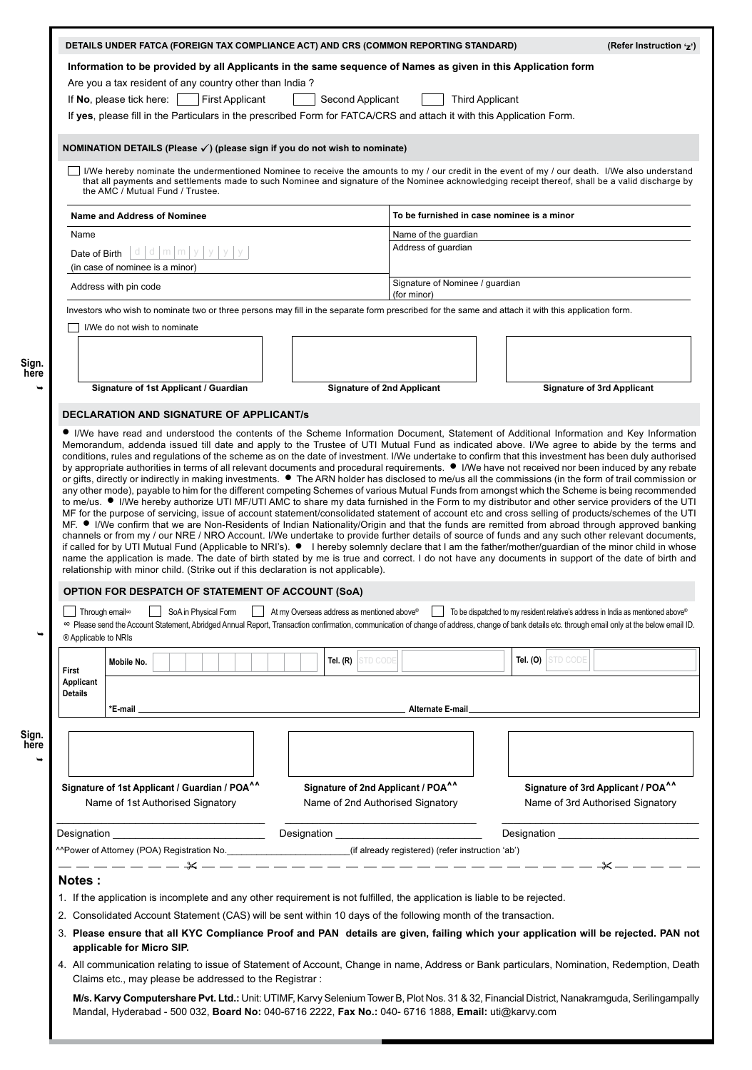|                                                    |                                                                                                                                                                                                                                                                                                                                                                                                                                                                                                                                                     |                                            | DETAILS UNDER FATCA (FOREIGN TAX COMPLIANCE ACT) AND CRS (COMMON REPORTING STANDARD)                                                           |                        |                     | (Refer Instruction 'z')                                                                                                                                               |
|----------------------------------------------------|-----------------------------------------------------------------------------------------------------------------------------------------------------------------------------------------------------------------------------------------------------------------------------------------------------------------------------------------------------------------------------------------------------------------------------------------------------------------------------------------------------------------------------------------------------|--------------------------------------------|------------------------------------------------------------------------------------------------------------------------------------------------|------------------------|---------------------|-----------------------------------------------------------------------------------------------------------------------------------------------------------------------|
|                                                    | Information to be provided by all Applicants in the same sequence of Names as given in this Application form                                                                                                                                                                                                                                                                                                                                                                                                                                        |                                            |                                                                                                                                                |                        |                     |                                                                                                                                                                       |
|                                                    | Are you a tax resident of any country other than India?                                                                                                                                                                                                                                                                                                                                                                                                                                                                                             |                                            |                                                                                                                                                |                        |                     |                                                                                                                                                                       |
|                                                    | If No, please tick here: $\vert$<br><b>First Applicant</b>                                                                                                                                                                                                                                                                                                                                                                                                                                                                                          | Second Applicant                           |                                                                                                                                                | <b>Third Applicant</b> |                     |                                                                                                                                                                       |
|                                                    | If yes, please fill in the Particulars in the prescribed Form for FATCA/CRS and attach it with this Application Form.                                                                                                                                                                                                                                                                                                                                                                                                                               |                                            |                                                                                                                                                |                        |                     |                                                                                                                                                                       |
|                                                    | NOMINATION DETAILS (Please $\checkmark$ ) (please sign if you do not wish to nominate)                                                                                                                                                                                                                                                                                                                                                                                                                                                              |                                            |                                                                                                                                                |                        |                     |                                                                                                                                                                       |
|                                                    | I/We hereby nominate the undermentioned Nominee to receive the amounts to my / our credit in the event of my / our death. I/We also understand<br>that all payments and settlements made to such Nominee and signature of the Nominee acknowledging receipt thereof, shall be a valid discharge by<br>the AMC / Mutual Fund / Trustee.                                                                                                                                                                                                              |                                            |                                                                                                                                                |                        |                     |                                                                                                                                                                       |
|                                                    | <b>Name and Address of Nominee</b>                                                                                                                                                                                                                                                                                                                                                                                                                                                                                                                  |                                            | To be furnished in case nominee is a minor                                                                                                     |                        |                     |                                                                                                                                                                       |
| Name                                               |                                                                                                                                                                                                                                                                                                                                                                                                                                                                                                                                                     |                                            | Name of the guardian                                                                                                                           |                        |                     |                                                                                                                                                                       |
| Date of Birth                                      | $ d d $ m $ m y y $                                                                                                                                                                                                                                                                                                                                                                                                                                                                                                                                 |                                            | Address of guardian                                                                                                                            |                        |                     |                                                                                                                                                                       |
|                                                    | (in case of nominee is a minor)                                                                                                                                                                                                                                                                                                                                                                                                                                                                                                                     |                                            |                                                                                                                                                |                        |                     |                                                                                                                                                                       |
|                                                    | Address with pin code                                                                                                                                                                                                                                                                                                                                                                                                                                                                                                                               |                                            | Signature of Nominee / quardian<br>(for minor)                                                                                                 |                        |                     |                                                                                                                                                                       |
|                                                    | Investors who wish to nominate two or three persons may fill in the separate form prescribed for the same and attach it with this application form.                                                                                                                                                                                                                                                                                                                                                                                                 |                                            |                                                                                                                                                |                        |                     |                                                                                                                                                                       |
|                                                    | I/We do not wish to nominate                                                                                                                                                                                                                                                                                                                                                                                                                                                                                                                        |                                            |                                                                                                                                                |                        |                     |                                                                                                                                                                       |
|                                                    |                                                                                                                                                                                                                                                                                                                                                                                                                                                                                                                                                     |                                            |                                                                                                                                                |                        |                     |                                                                                                                                                                       |
|                                                    |                                                                                                                                                                                                                                                                                                                                                                                                                                                                                                                                                     |                                            |                                                                                                                                                |                        |                     |                                                                                                                                                                       |
|                                                    | Signature of 1st Applicant / Guardian                                                                                                                                                                                                                                                                                                                                                                                                                                                                                                               | <b>Signature of 2nd Applicant</b>          |                                                                                                                                                |                        |                     | <b>Signature of 3rd Applicant</b>                                                                                                                                     |
|                                                    |                                                                                                                                                                                                                                                                                                                                                                                                                                                                                                                                                     |                                            |                                                                                                                                                |                        |                     |                                                                                                                                                                       |
|                                                    | <b>DECLARATION AND SIGNATURE OF APPLICANT/S</b>                                                                                                                                                                                                                                                                                                                                                                                                                                                                                                     |                                            |                                                                                                                                                |                        |                     |                                                                                                                                                                       |
|                                                    | channels or from my / our NRE / NRO Account. I/We undertake to provide further details of source of funds and any such other relevant documents,<br>if called for by UTI Mutual Fund (Applicable to NRI's). ● I hereby solemnly declare that I am the father/mother/quardian of the minor child in whose<br>name the application is made. The date of birth stated by me is true and correct. I do not have any documents in support of the date of birth and<br>relationship with minor child. (Strike out if this declaration is not applicable). |                                            | MF. ● I/We confirm that we are Non-Residents of Indian Nationality/Origin and that the funds are remitted from abroad through approved banking |                        |                     |                                                                                                                                                                       |
| Through email <sup>∞</sup><br>® Applicable to NRIs | OPTION FOR DESPATCH OF STATEMENT OF ACCOUNT (SoA)<br>SoA in Physical Form<br>∞ Please send the Account Statement, Abridged Annual Report, Transaction confirmation, communication of change of address, change of bank details etc. through email only at the below email ID.                                                                                                                                                                                                                                                                       | At my Overseas address as mentioned above® |                                                                                                                                                |                        |                     |                                                                                                                                                                       |
|                                                    | Mobile No.                                                                                                                                                                                                                                                                                                                                                                                                                                                                                                                                          | Tel. (R) STD CODE                          |                                                                                                                                                |                        | Tel. (O) $STD$ code |                                                                                                                                                                       |
| First<br><b>Applicant</b>                          |                                                                                                                                                                                                                                                                                                                                                                                                                                                                                                                                                     |                                            |                                                                                                                                                |                        |                     |                                                                                                                                                                       |
| <b>Details</b>                                     |                                                                                                                                                                                                                                                                                                                                                                                                                                                                                                                                                     |                                            |                                                                                                                                                |                        |                     |                                                                                                                                                                       |
|                                                    | *E-mail ______                                                                                                                                                                                                                                                                                                                                                                                                                                                                                                                                      |                                            |                                                                                                                                                |                        |                     |                                                                                                                                                                       |
|                                                    |                                                                                                                                                                                                                                                                                                                                                                                                                                                                                                                                                     |                                            |                                                                                                                                                |                        |                     |                                                                                                                                                                       |
|                                                    |                                                                                                                                                                                                                                                                                                                                                                                                                                                                                                                                                     |                                            |                                                                                                                                                |                        |                     |                                                                                                                                                                       |
|                                                    | Signature of 1st Applicant / Guardian / POA^^<br>Name of 1st Authorised Signatory                                                                                                                                                                                                                                                                                                                                                                                                                                                                   |                                            | Signature of 2nd Applicant / POA <sup>^^</sup><br>Name of 2nd Authorised Signatory                                                             |                        |                     |                                                                                                                                                                       |
|                                                    |                                                                                                                                                                                                                                                                                                                                                                                                                                                                                                                                                     |                                            |                                                                                                                                                |                        |                     |                                                                                                                                                                       |
|                                                    |                                                                                                                                                                                                                                                                                                                                                                                                                                                                                                                                                     |                                            |                                                                                                                                                |                        |                     |                                                                                                                                                                       |
|                                                    |                                                                                                                                                                                                                                                                                                                                                                                                                                                                                                                                                     |                                            |                                                                                                                                                |                        |                     |                                                                                                                                                                       |
| Notes:                                             |                                                                                                                                                                                                                                                                                                                                                                                                                                                                                                                                                     |                                            |                                                                                                                                                |                        |                     |                                                                                                                                                                       |
|                                                    | 1. If the application is incomplete and any other requirement is not fulfilled, the application is liable to be rejected.                                                                                                                                                                                                                                                                                                                                                                                                                           |                                            |                                                                                                                                                |                        |                     |                                                                                                                                                                       |
|                                                    | 2. Consolidated Account Statement (CAS) will be sent within 10 days of the following month of the transaction.                                                                                                                                                                                                                                                                                                                                                                                                                                      |                                            |                                                                                                                                                |                        |                     |                                                                                                                                                                       |
|                                                    | 3. Please ensure that all KYC Compliance Proof and PAN details are given, failing which your application will be rejected. PAN not<br>applicable for Micro SIP.                                                                                                                                                                                                                                                                                                                                                                                     |                                            |                                                                                                                                                |                        |                     |                                                                                                                                                                       |
|                                                    | 4. All communication relating to issue of Statement of Account, Change in name, Address or Bank particulars, Nomination, Redemption, Death<br>Claims etc., may please be addressed to the Registrar:                                                                                                                                                                                                                                                                                                                                                |                                            |                                                                                                                                                |                        |                     | To be dispatched to my resident relative's address in India as mentioned above®<br>Signature of 3rd Applicant / POA <sup>^^</sup><br>Name of 3rd Authorised Signatory |
|                                                    | M/s. Karvy Computershare Pvt. Ltd.: Unit: UTIMF, Karvy Selenium Tower B, Plot Nos. 31 & 32, Financial District, Nanakramguda, Serilingampally                                                                                                                                                                                                                                                                                                                                                                                                       |                                            |                                                                                                                                                |                        |                     |                                                                                                                                                                       |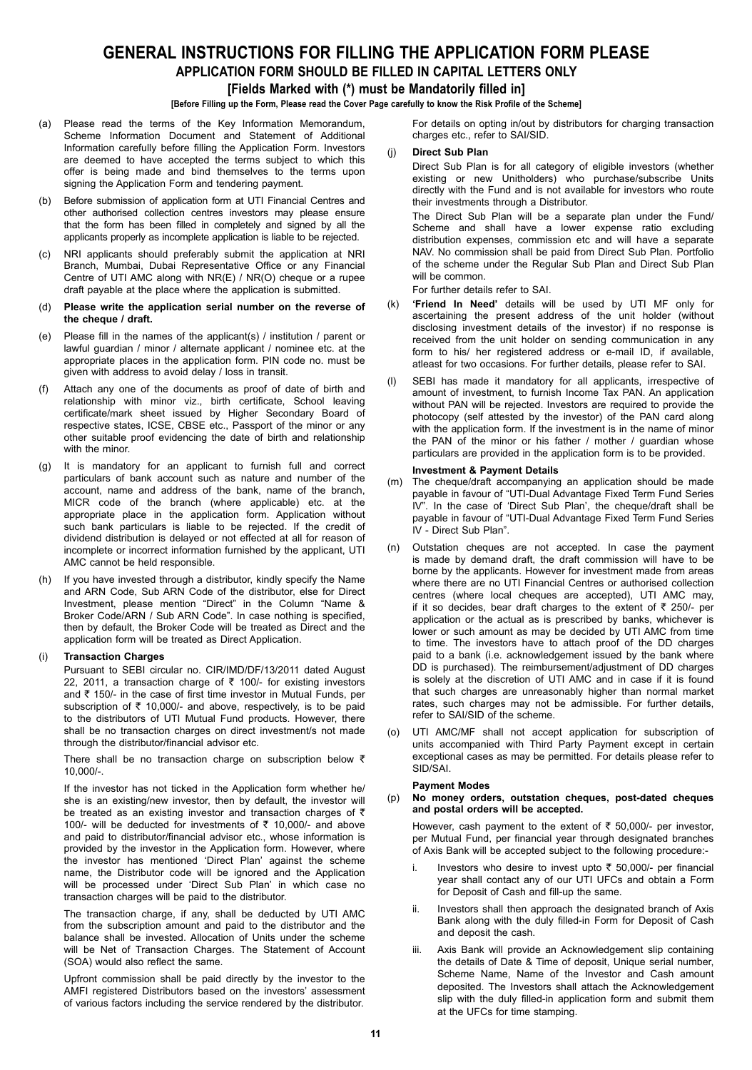## **GENERAL INSTRUCTIONS FOR FILLING THE APPLICATION FORM PLEASE Application Form should be filled in Capital letters only**

## **[Fields Marked with (\*) must be Mandatorily filled in]**

## **[Before Filling up the Form, Please read the Cover Page carefully to know the Risk Profile of the Scheme]**

- (a) Please read the terms of the Key Information Memorandum, Scheme Information Document and Statement of Additional Information carefully before filling the Application Form. Investors are deemed to have accepted the terms subject to which this offer is being made and bind themselves to the terms upon signing the Application Form and tendering payment.
- (b) Before submission of application form at UTI Financial Centres and other authorised collection centres investors may please ensure that the form has been filled in completely and signed by all the applicants properly as incomplete application is liable to be rejected.
- (c) NRI applicants should preferably submit the application at NRI Branch, Mumbai, Dubai Representative Office or any Financial Centre of UTI AMC along with NR(E) / NR(O) cheque or a rupee draft payable at the place where the application is submitted.
- (d) **Please write the application serial number on the reverse of the cheque / draft.**
- (e) Please fill in the names of the applicant(s) / institution / parent or lawful guardian / minor / alternate applicant / nominee etc. at the appropriate places in the application form. PIN code no. must be given with address to avoid delay / loss in transit.
- (f) Attach any one of the documents as proof of date of birth and relationship with minor viz., birth certificate, School leaving certificate/mark sheet issued by Higher Secondary Board of respective states, ICSE, CBSE etc., Passport of the minor or any other suitable proof evidencing the date of birth and relationship with the minor.
- (g) It is mandatory for an applicant to furnish full and correct particulars of bank account such as nature and number of the account, name and address of the bank, name of the branch, MICR code of the branch (where applicable) etc. at the appropriate place in the application form. Application without such bank particulars is liable to be rejected. If the credit of dividend distribution is delayed or not effected at all for reason of incomplete or incorrect information furnished by the applicant, UTI AMC cannot be held responsible.
- (h) If you have invested through a distributor, kindly specify the Name and ARN Code, Sub ARN Code of the distributor, else for Direct Investment, please mention "Direct" in the Column "Name & Broker Code/ARN / Sub ARN Code". In case nothing is specified, then by default, the Broker Code will be treated as Direct and the application form will be treated as Direct Application.

## (i) **Transaction Charges**

Pursuant to SEBI circular no. CIR/IMD/DF/13/2011 dated August 22, 2011, a transaction charge of  $\bar{\tau}$  100/- for existing investors and  $\bar{\tau}$  150/- in the case of first time investor in Mutual Funds, per subscription of  $\bar{\tau}$  10,000/- and above, respectively, is to be paid to the distributors of UTI Mutual Fund products. However, there shall be no transaction charges on direct investment/s not made through the distributor/financial advisor etc.

There shall be no transaction charge on subscription below  $\bar{\tau}$ 10,000/-.

If the investor has not ticked in the Application form whether he/ she is an existing/new investor, then by default, the investor will be treated as an existing investor and transaction charges of  $\bar{\tau}$ 100/- will be deducted for investments of  $\bar{\tau}$  10,000/- and above and paid to distributor/financial advisor etc., whose information is provided by the investor in the Application form. However, where the investor has mentioned 'Direct Plan' against the scheme name, the Distributor code will be ignored and the Application will be processed under 'Direct Sub Plan' in which case no transaction charges will be paid to the distributor.

The transaction charge, if any, shall be deducted by UTI AMC from the subscription amount and paid to the distributor and the balance shall be invested. Allocation of Units under the scheme will be Net of Transaction Charges. The Statement of Account (SOA) would also reflect the same.

Upfront commission shall be paid directly by the investor to the AMFI registered Distributors based on the investors' assessment of various factors including the service rendered by the distributor.

For details on opting in/out by distributors for charging transaction charges etc., refer to SAI/SID.

(j) **Direct Sub Plan**

Direct Sub Plan is for all category of eligible investors (whether existing or new Unitholders) who purchase/subscribe Units directly with the Fund and is not available for investors who route their investments through a Distributor.

 The Direct Sub Plan will be a separate plan under the Fund/ Scheme and shall have a lower expense ratio excluding distribution expenses, commission etc and will have a separate NAV. No commission shall be paid from Direct Sub Plan. Portfolio of the scheme under the Regular Sub Plan and Direct Sub Plan will be common

For further details refer to SAI.

- (k) **'Friend In Need'** details will be used by UTI MF only for ascertaining the present address of the unit holder (without disclosing investment details of the investor) if no response is received from the unit holder on sending communication in any form to his/ her registered address or e-mail ID, if available, atleast for two occasions. For further details, please refer to SAI.
- (l) SEBI has made it mandatory for all applicants, irrespective of amount of investment, to furnish Income Tax PAN. An application without PAN will be rejected. Investors are required to provide the photocopy (self attested by the investor) of the PAN card along with the application form. If the investment is in the name of minor the PAN of the minor or his father / mother / guardian whose particulars are provided in the application form is to be provided.

## **Investment & Payment Details**

- (m) The cheque/draft accompanying an application should be made payable in favour of "UTI-Dual Advantage Fixed Term Fund Series IV". In the case of 'Direct Sub Plan', the cheque/draft shall be payable in favour of "UTI-Dual Advantage Fixed Term Fund Series IV - Direct Sub Plan".
- (n) Outstation cheques are not accepted. In case the payment is made by demand draft, the draft commission will have to be borne by the applicants. However for investment made from areas where there are no UTI Financial Centres or authorised collection centres (where local cheques are accepted), UTI AMC may, if it so decides, bear draft charges to the extent of  $\bar{\tau}$  250/- per application or the actual as is prescribed by banks, whichever is lower or such amount as may be decided by UTI AMC from time to time. The investors have to attach proof of the DD charges paid to a bank (i.e. acknowledgement issued by the bank where DD is purchased). The reimbursement/adjustment of DD charges is solely at the discretion of UTI AMC and in case if it is found that such charges are unreasonably higher than normal market rates, such charges may not be admissible. For further details, refer to SAI/SID of the scheme.
- (o) UTI AMC/MF shall not accept application for subscription of units accompanied with Third Party Payment except in certain exceptional cases as may be permitted. For details please refer to SID/SAI.

## **Payment Modes**

#### (p) **No money orders, outstation cheques, post-dated cheques and postal orders will be accepted.**

However, cash payment to the extent of  $\bar{\tau}$  50,000/- per investor, per Mutual Fund, per financial year through designated branches of Axis Bank will be accepted subject to the following procedure:-

- i. Investors who desire to invest upto  $\bar{\tau}$  50,000/- per financial year shall contact any of our UTI UFCs and obtain a Form for Deposit of Cash and fill-up the same.
- ii. Investors shall then approach the designated branch of Axis Bank along with the duly filled-in Form for Deposit of Cash and deposit the cash.
- iii. Axis Bank will provide an Acknowledgement slip containing the details of Date & Time of deposit, Unique serial number, Scheme Name, Name of the Investor and Cash amount deposited. The Investors shall attach the Acknowledgement slip with the duly filled-in application form and submit them at the UFCs for time stamping.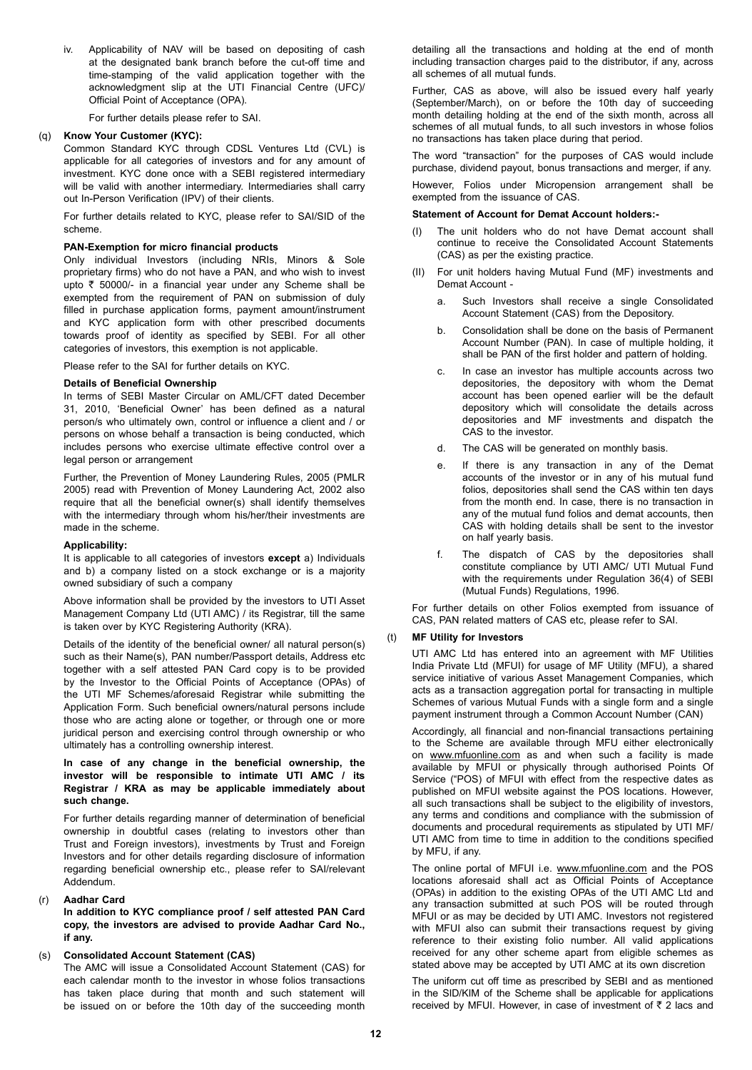iv. Applicability of NAV will be based on depositing of cash at the designated bank branch before the cut-off time and time-stamping of the valid application together with the acknowledgment slip at the UTI Financial Centre (UFC)/ Official Point of Acceptance (OPA).

For further details please refer to SAI.

## (q) **Know Your Customer (KYC):**

Common Standard KYC through CDSL Ventures Ltd (CVL) is applicable for all categories of investors and for any amount of investment. KYC done once with a SEBI registered intermediary will be valid with another intermediary. Intermediaries shall carry out In-Person Verification (IPV) of their clients.

For further details related to KYC, please refer to SAI/SID of the scheme.

## **PAN-Exemption for micro financial products**

Only individual Investors (including NRIs, Minors & Sole proprietary firms) who do not have a PAN, and who wish to invest upto  $\bar{\tau}$  50000/- in a financial year under any Scheme shall be exempted from the requirement of PAN on submission of duly filled in purchase application forms, payment amount/instrument and KYC application form with other prescribed documents towards proof of identity as specified by SEBI. For all other categories of investors, this exemption is not applicable.

Please refer to the SAI for further details on KYC.

## **Details of Beneficial Ownership**

In terms of SEBI Master Circular on AML/CFT dated December 31, 2010, 'Beneficial Owner' has been defined as a natural person/s who ultimately own, control or influence a client and / or persons on whose behalf a transaction is being conducted, which includes persons who exercise ultimate effective control over a legal person or arrangement

Further, the Prevention of Money Laundering Rules, 2005 (PMLR 2005) read with Prevention of Money Laundering Act, 2002 also require that all the beneficial owner(s) shall identify themselves with the intermediary through whom his/her/their investments are made in the scheme.

## **Applicability:**

It is applicable to all categories of investors **except** a) Individuals and b) a company listed on a stock exchange or is a majority owned subsidiary of such a company

Above information shall be provided by the investors to UTI Asset Management Company Ltd (UTI AMC) / its Registrar, till the same is taken over by KYC Registering Authority (KRA).

Details of the identity of the beneficial owner/ all natural person(s) such as their Name(s), PAN number/Passport details, Address etc together with a self attested PAN Card copy is to be provided by the Investor to the Official Points of Acceptance (OPAs) of the UTI MF Schemes/aforesaid Registrar while submitting the Application Form. Such beneficial owners/natural persons include those who are acting alone or together, or through one or more juridical person and exercising control through ownership or who ultimately has a controlling ownership interest.

## **In case of any change in the beneficial ownership, the investor will be responsible to intimate UTI AMC / its Registrar / KRA as may be applicable immediately about such change.**

For further details regarding manner of determination of beneficial ownership in doubtful cases (relating to investors other than Trust and Foreign investors), investments by Trust and Foreign Investors and for other details regarding disclosure of information regarding beneficial ownership etc., please refer to SAI/relevant Addendum.

## (r) **Aadhar Card**

**In addition to KYC compliance proof / self attested PAN Card copy, the investors are advised to provide Aadhar Card No., if any.**

## (s) **Consolidated Account Statement (CAS)**

The AMC will issue a Consolidated Account Statement (CAS) for each calendar month to the investor in whose folios transactions has taken place during that month and such statement will be issued on or before the 10th day of the succeeding month

detailing all the transactions and holding at the end of month including transaction charges paid to the distributor, if any, across all schemes of all mutual funds.

Further, CAS as above, will also be issued every half yearly (September/March), on or before the 10th day of succeeding month detailing holding at the end of the sixth month, across all schemes of all mutual funds, to all such investors in whose folios no transactions has taken place during that period.

The word "transaction" for the purposes of CAS would include purchase, dividend payout, bonus transactions and merger, if any.

 However, Folios under Micropension arrangement shall be exempted from the issuance of CAS.

## **Statement of Account for Demat Account holders:-**

- (I) The unit holders who do not have Demat account shall continue to receive the Consolidated Account Statements (CAS) as per the existing practice.
- (II) For unit holders having Mutual Fund (MF) investments and Demat Account
	- a. Such Investors shall receive a single Consolidated Account Statement (CAS) from the Depository.
	- b. Consolidation shall be done on the basis of Permanent Account Number (PAN). In case of multiple holding, it shall be PAN of the first holder and pattern of holding.
	- c. In case an investor has multiple accounts across two depositories, the depository with whom the Demat account has been opened earlier will be the default depository which will consolidate the details across depositories and MF investments and dispatch the CAS to the investor.
	- d. The CAS will be generated on monthly basis.
	- e. If there is any transaction in any of the Demat accounts of the investor or in any of his mutual fund folios, depositories shall send the CAS within ten days from the month end. In case, there is no transaction in any of the mutual fund folios and demat accounts, then CAS with holding details shall be sent to the investor on half yearly basis.
	- f. The dispatch of CAS by the depositories shall constitute compliance by UTI AMC/ UTI Mutual Fund with the requirements under Regulation 36(4) of SEBI (Mutual Funds) Regulations, 1996.

For further details on other Folios exempted from issuance of CAS, PAN related matters of CAS etc, please refer to SAI.

## (t) **MF Utility for Investors**

UTI AMC Ltd has entered into an agreement with MF Utilities India Private Ltd (MFUI) for usage of MF Utility (MFU), a shared service initiative of various Asset Management Companies, which acts as a transaction aggregation portal for transacting in multiple Schemes of various Mutual Funds with a single form and a single payment instrument through a Common Account Number (CAN)

Accordingly, all financial and non-financial transactions pertaining to the Scheme are available through MFU either electronically on www.mfuonline.com as and when such a facility is made available by MFUI or physically through authorised Points Of Service ("POS) of MFUI with effect from the respective dates as published on MFUI website against the POS locations. However, all such transactions shall be subject to the eligibility of investors, any terms and conditions and compliance with the submission of documents and procedural requirements as stipulated by UTI MF/ UTI AMC from time to time in addition to the conditions specified by MFU, if any.

The online portal of MFUI i.e. www.mfuonline.com and the POS locations aforesaid shall act as Official Points of Acceptance (OPAs) in addition to the existing OPAs of the UTI AMC Ltd and any transaction submitted at such POS will be routed through MFUI or as may be decided by UTI AMC. Investors not registered with MFUI also can submit their transactions request by giving reference to their existing folio number. All valid applications received for any other scheme apart from eligible schemes as stated above may be accepted by UTI AMC at its own discretion

The uniform cut off time as prescribed by SEBI and as mentioned in the SID/KIM of the Scheme shall be applicable for applications received by MFUI. However, in case of investment of  $\bar{z}$  2 lacs and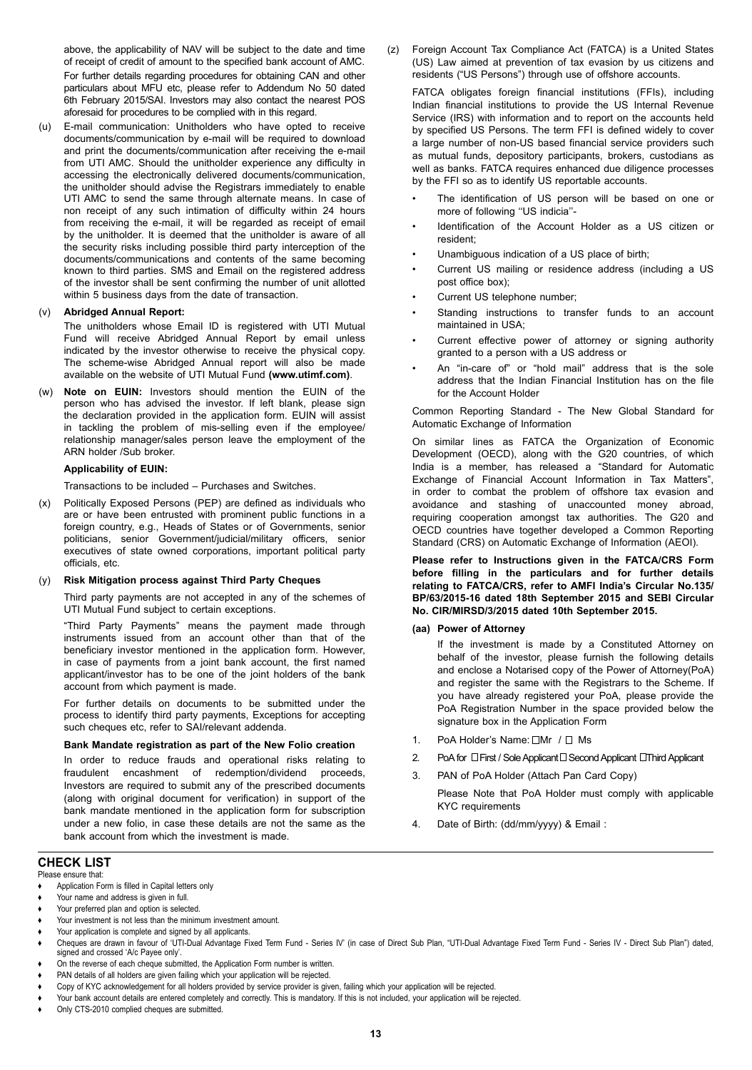above, the applicability of NAV will be subject to the date and time of receipt of credit of amount to the specified bank account of AMC. For further details regarding procedures for obtaining CAN and other particulars about MFU etc, please refer to Addendum No 50 dated 6th February 2015/SAI. Investors may also contact the nearest POS aforesaid for procedures to be complied with in this regard.

(u) E-mail communication: Unitholders who have opted to receive documents/communication by e-mail will be required to download and print the documents/communication after receiving the e-mail from UTI AMC. Should the unitholder experience any difficulty in accessing the electronically delivered documents/communication, the unitholder should advise the Registrars immediately to enable UTI AMC to send the same through alternate means. In case of non receipt of any such intimation of difficulty within 24 hours from receiving the e-mail, it will be regarded as receipt of email by the unitholder. It is deemed that the unitholder is aware of all the security risks including possible third party interception of the documents/communications and contents of the same becoming known to third parties. SMS and Email on the registered address of the investor shall be sent confirming the number of unit allotted within 5 business days from the date of transaction.

## (v) **Abridged Annual Report:**

 The unitholders whose Email ID is registered with UTI Mutual Fund will receive Abridged Annual Report by email unless indicated by the investor otherwise to receive the physical copy. The scheme-wise Abridged Annual report will also be made available on the website of UTI Mutual Fund **(www.utimf.com)**.

(w) **Note on EUIN:** Investors should mention the EUIN of the person who has advised the investor. If left blank, please sign the declaration provided in the application form. EUIN will assist in tackling the problem of mis-selling even if the employee/ relationship manager/sales person leave the employment of the ARN holder /Sub broker.

## **Applicability of EUIN:**

Transactions to be included – Purchases and Switches.

(x) Politically Exposed Persons (PEP) are defined as individuals who are or have been entrusted with prominent public functions in a foreign country, e.g., Heads of States or of Governments, senior politicians, senior Government/judicial/military officers, senior executives of state owned corporations, important political party officials, etc.

## (y) **Risk Mitigation process against Third Party Cheques**

Third party payments are not accepted in any of the schemes of UTI Mutual Fund subject to certain exceptions.

"Third Party Payments" means the payment made through instruments issued from an account other than that of the beneficiary investor mentioned in the application form. However, in case of payments from a joint bank account, the first named applicant/investor has to be one of the joint holders of the bank account from which payment is made.

For further details on documents to be submitted under the process to identify third party payments, Exceptions for accepting such cheques etc, refer to SAI/relevant addenda.

## **Bank Mandate registration as part of the New Folio creation**

In order to reduce frauds and operational risks relating to fraudulent encashment of redemption/dividend proceeds, Investors are required to submit any of the prescribed documents (along with original document for verification) in support of the bank mandate mentioned in the application form for subscription under a new folio, in case these details are not the same as the bank account from which the investment is made.

#### **CHECK LIST** Please ensure that:

**♦** Application Form is filled in Capital letters only

- Your name and address is given in full.
- Your preferred plan and option is selected.
- Your investment is not less than the minimum investment amount.
- Your application is complete and signed by all applicants.
- Cheques are drawn in favour of 'UTI-Dual Advantage Fixed Term Fund Series IV' (in case of Direct Sub Plan, "UTI-Dual Advantage Fixed Term Fund Series IV Direct Sub Plan") dated, signed and crossed 'A/c Payee only'.
- On the reverse of each cheque submitted, the Application Form number is written.
- PAN details of all holders are given failing which your application will be rejected.
- **♦** Copy of KYC acknowledgement for all holders provided by service provider is given, failing which your application will be rejected. **♦** Your bank account details are entered completely and correctly. This is mandatory. If this is not included, your application will be rejected.
- Only CTS-2010 complied cheques are submitted.

(z) Foreign Account Tax Compliance Act (FATCA) is a United States (US) Law aimed at prevention of tax evasion by us citizens and residents ("US Persons") through use of offshore accounts.

FATCA obligates foreign financial institutions (FFIs), including Indian financial institutions to provide the US Internal Revenue Service (IRS) with information and to report on the accounts held by specified US Persons. The term FFI is defined widely to cover a large number of non-US based financial service providers such as mutual funds, depository participants, brokers, custodians as well as banks. FATCA requires enhanced due diligence processes by the FFI so as to identify US reportable accounts.

- The identification of US person will be based on one or more of following ''US indicia''-
- Identification of the Account Holder as a US citizen or resident;
- Unambiguous indication of a US place of birth;
- Current US mailing or residence address (including a US post office box);
- Current US telephone number;
- Standing instructions to transfer funds to an account maintained in USA;
- Current effective power of attorney or signing authority granted to a person with a US address or
- An "in-care of" or "hold mail" address that is the sole address that the Indian Financial Institution has on the file for the Account Holder

Common Reporting Standard - The New Global Standard for Automatic Exchange of Information

On similar lines as FATCA the Organization of Economic Development (OECD), along with the G20 countries, of which India is a member, has released a "Standard for Automatic Exchange of Financial Account Information in Tax Matters", in order to combat the problem of offshore tax evasion and avoidance and stashing of unaccounted money abroad, requiring cooperation amongst tax authorities. The G20 and OECD countries have together developed a Common Reporting Standard (CRS) on Automatic Exchange of Information (AEOI).

**Please refer to Instructions given in the FATCA/CRS Form before filling in the particulars and for further details relating to FATCA/CRS, refer to AMFI India's Circular No.135/ BP/63/2015-16 dated 18th September 2015 and SEBI Circular No. CIR/MIRSD/3/2015 dated 10th September 2015.**

## **(aa) Power of Attorney**

If the investment is made by a Constituted Attorney on behalf of the investor, please furnish the following details and enclose a Notarised copy of the Power of Attorney(PoA) and register the same with the Registrars to the Scheme. If you have already registered your PoA, please provide the PoA Registration Number in the space provided below the signature box in the Application Form

- 1. PoA Holder's Name:  $\Box$ Mr /  $\Box$  Ms
- 2. PoA for  $\Box$  First / Sole Applicant  $\Box$  Second Applicant  $\Box$  Third Applicant
- 3. PAN of PoA Holder (Attach Pan Card Copy)
	- Please Note that PoA Holder must comply with applicable KYC requirements
- 4. Date of Birth: (dd/mm/yyyy) & Email :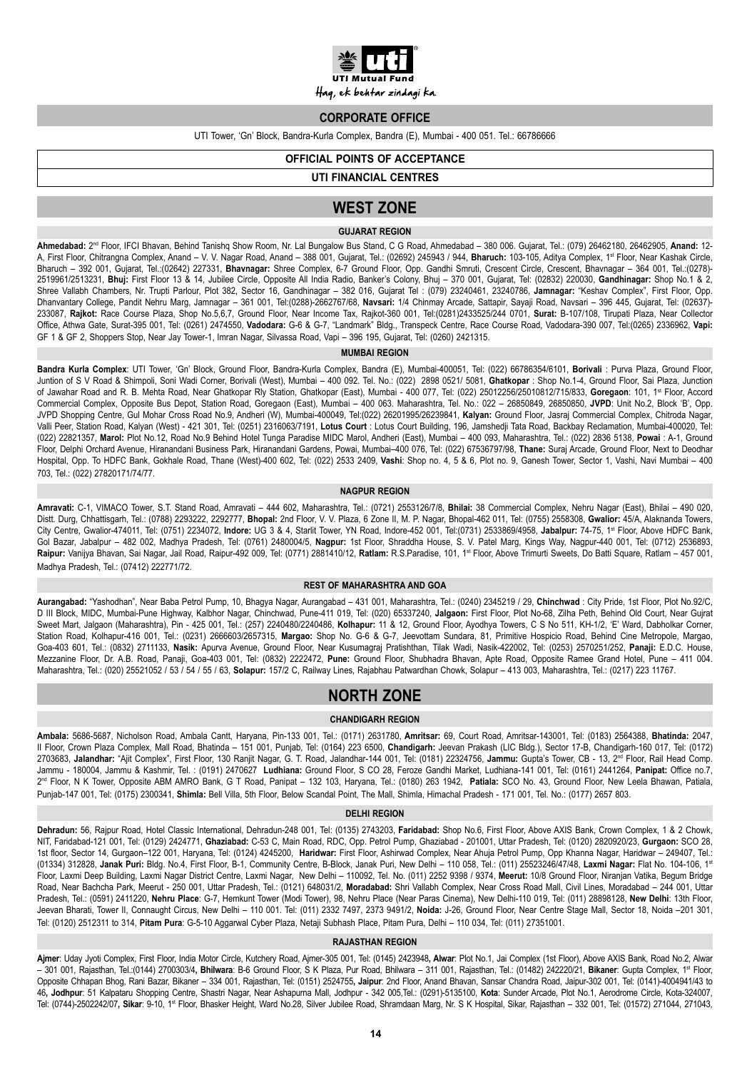

Haq, ek behtar zindagi ka.

## **CORPORATE OFFICE**

UTI Tower, 'Gn' Block, Bandra-Kurla Complex, Bandra (E), Mumbai - 400 051. Tel.: 66786666

## **OFFICIAL POINTS OF ACCEPTANCE**

**UTI FINANCIAL CENTRES**

## **WEST ZONE**

## **GUJARAT REGION**

**Ahmedabad:** 2nd Floor, IFCI Bhavan, Behind Tanishq Show Room, Nr. Lal Bungalow Bus Stand, C G Road, Ahmedabad – 380 006. Gujarat, Tel.: (079) 26462180, 26462905, **Anand:** 12- A, First Floor, Chitrangna Complex, Anand – V. V. Nagar Road, Anand – 388 001, Gujarat, Tel.: (02692) 245943 / 944, Bharuch: 103-105, Aditya Complex, 1st Floor, Near Kashak Circle, Bharuch – 392 001, Gujarat, Tel.:(02642) 227331, **Bhavnagar:** Shree Complex, 6-7 Ground Floor, Opp. Gandhi Smruti, Crescent Circle, Crescent, Bhavnagar – 364 001, Tel.:(0278)- 2519961/2513231, **Bhuj:** First Floor 13 & 14, Jubilee Circle, Opposite All India Radio, Banker's Colony, Bhuj – 370 001, Gujarat, Tel: (02832) 220030, **Gandhinagar:** Shop No.1 & 2, Shree Vallabh Chambers, Nr. Trupti Parlour, Plot 382, Sector 16, Gandhinagar – 382 016, Gujarat Tel : (079) 23240461, 23240786, **Jamnagar:** "Keshav Complex", First Floor, Opp. Dhanvantary College, Pandit Nehru Marg, Jamnagar – 361 001, Tel:(0288)-2662767/68, **Navsari:** 1/4 Chinmay Arcade, Sattapir, Sayaji Road, Navsari – 396 445, Gujarat, Tel: (02637)- 233087, **Rajkot:** Race Course Plaza, Shop No.5,6,7, Ground Floor, Near Income Tax, Rajkot-360 001, Tel:(0281)2433525/244 0701, **Surat:** B-107/108, Tirupati Plaza, Near Collector Office, Athwa Gate, Surat-395 001, Tel: (0261) 2474550, **Vadodara:** G-6 & G-7, "Landmark" Bldg., Transpeck Centre, Race Course Road, Vadodara-390 007, Tel:(0265) 2336962, **Vapi:** GF 1 & GF 2, Shoppers Stop, Near Jay Tower-1, Imran Nagar, Silvassa Road, Vapi – 396 195, Gujarat, Tel: (0260) 2421315.

## **MUMBAI REGION**

**Bandra Kurla Complex**: UTI Tower, 'Gn' Block, Ground Floor, Bandra-Kurla Complex, Bandra (E), Mumbai-400051, Tel: (022) 66786354/6101, **Borivali** : Purva Plaza, Ground Floor, Juntion of S V Road & Shimpoli, Soni Wadi Corner, Borivali (West), Mumbai – 400 092. Tel. No.: (022) 2898 0521/ 5081, **Ghatkopar** : Shop No.1-4, Ground Floor, Sai Plaza, Junction of Jawahar Road and R. B. Mehta Road, Near Ghatkopar Rly Station, Ghatkopar (East), Mumbai - 400 077, Tel: (022) 25012256/25010812/715/833, **Goregaon**: 101, 1st Floor, Accord Commercial Complex, Opposite Bus Depot, Station Road, Goregaon (East), Mumbai – 400 063. Maharashtra, Tel. No.: 022 – 26850849, 26850850, **JVPD**: Unit No.2, Block 'B', Opp. JVPD Shopping Centre, Gul Mohar Cross Road No.9, Andheri (W), Mumbai-400049, Tel:(022) 26201995/26239841, **Kalyan:** Ground Floor, Jasraj Commercial Complex, Chitroda Nagar, Valli Peer, Station Road, Kalyan (West) - 421 301, Tel: (0251) 2316063/7191, **Lotus Court** : Lotus Court Building, 196, Jamshedji Tata Road, Backbay Reclamation, Mumbai-400020, Tel: (022) 22821357, **Marol:** Plot No.12, Road No.9 Behind Hotel Tunga Paradise MIDC Marol, Andheri (East), Mumbai – 400 093, Maharashtra, Tel.: (022) 2836 5138, **Powai** : A-1, Ground Floor, Delphi Orchard Avenue, Hiranandani Business Park, Hiranandani Gardens, Powai, Mumbai–400 076, Tel: (022) 67536797/98, **Thane:** Suraj Arcade, Ground Floor, Next to Deodhar Hospital, Opp. To HDFC Bank, Gokhale Road, Thane (West)-400 602, Tel: (022) 2533 2409, **Vashi**: Shop no. 4, 5 & 6, Plot no. 9, Ganesh Tower, Sector 1, Vashi, Navi Mumbai – 400 703, Tel.: (022) 27820171/74/77.

#### **NAGPUR REGION**

**Amravati:** C-1, VIMACO Tower, S.T. Stand Road, Amravati – 444 602, Maharashtra, Tel.: (0721) 2553126/7/8, **Bhilai:** 38 Commercial Complex, Nehru Nagar (East), Bhilai – 490 020, Distt. Durg, Chhattisgarh, Tel.: (0788) 2293222, 2292777, **Bhopal:** 2nd Floor, V. V. Plaza, 6 Zone II, M. P. Nagar, Bhopal-462 011, Tel: (0755) 2558308, **Gwalior:** 45/A, Alaknanda Towers, City Centre, Gwalior-474011, Tel: (0751) 2234072, **Indore:** UG 3 & 4, Starlit Tower, YN Road, Indore-452 001, Tel:(0731) 2533869/4958, **Jabalpur:** 74-75, 1st Floor, Above HDFC Bank, Gol Bazar, Jabalpur – 482 002, Madhya Pradesh, Tel: (0761) 2480004/5, **Nagpur:** 1st Floor, Shraddha House, S. V. Patel Marg, Kings Way, Nagpur-440 001, Tel: (0712) 2536893, Raipur: Vanijya Bhavan, Sai Nagar, Jail Road, Raipur-492 009, Tel: (0771) 2881410/12, Ratlam: R.S.Paradise, 101, 1<sup>st</sup> Floor, Above Trimurti Sweets, Do Batti Square, Ratlam - 457 001, Madhya Pradesh, Tel.: (07412) 222771/72.

## **REST OF MAHARASHTRA AND GOA**

**Aurangabad:** "Yashodhan", Near Baba Petrol Pump, 10, Bhagya Nagar, Aurangabad – 431 001, Maharashtra, Tel.: (0240) 2345219 / 29, **Chinchwad** : City Pride, 1st Floor, Plot No.92/C, D III Block, MIDC, Mumbai-Pune Highway, Kalbhor Nagar, Chinchwad, Pune-411 019, Tel: (020) 65337240, **Jalgaon:** First Floor, Plot No-68, Zilha Peth, Behind Old Court, Near Gujrat Sweet Mart, Jalgaon (Maharashtra), Pin - 425 001, Tel.: (257) 2240480/2240486, **Kolhapur:** 11 & 12, Ground Floor, Ayodhya Towers, C S No 511, KH-1/2, 'E' Ward, Dabholkar Corner, Station Road, Kolhapur-416 001, Tel.: (0231) 2666603/2657315, **Margao:** Shop No. G-6 & G-7, Jeevottam Sundara, 81, Primitive Hospicio Road, Behind Cine Metropole, Margao, Goa-403 601, Tel.: (0832) 2711133, **Nasik:** Apurva Avenue, Ground Floor, Near Kusumagraj Pratishthan, Tilak Wadi, Nasik-422002, Tel: (0253) 2570251/252, **Panaji:** E.D.C. House, Mezzanine Floor, Dr. A.B. Road, Panaji, Goa-403 001, Tel: (0832) 2222472, **Pune:** Ground Floor, Shubhadra Bhavan, Apte Road, Opposite Ramee Grand Hotel, Pune – 411 004. Maharashtra, Tel.: (020) 25521052 / 53 / 54 / 55 / 63, **Solapur:** 157/2 C, Railway Lines, Rajabhau Patwardhan Chowk, Solapur – 413 003, Maharashtra, Tel.: (0217) 223 11767.

## **NORTH ZONE**

## **CHANDIGARH REGION**

**Ambala:** 5686-5687, Nicholson Road, Ambala Cantt, Haryana, Pin-133 001, Tel.: (0171) 2631780, **Amritsar:** 69, Court Road, Amritsar-143001, Tel: (0183) 2564388, **Bhatinda:** 2047, II Floor, Crown Plaza Complex, Mall Road, Bhatinda – 151 001, Punjab, Tel: (0164) 223 6500, **Chandigarh:** Jeevan Prakash (LIC Bldg.), Sector 17-B, Chandigarh-160 017, Tel: (0172) 2703683, **Jalandhar:** "Ajit Complex", First Floor, 130 Ranjit Nagar, G. T. Road, Jalandhar-144 001, Tel: (0181) 22324756, **Jammu:** Gupta's Tower, CB - 13, 2nd Floor, Rail Head Comp. Jammu - 180004, Jammu & Kashmir, Tel. : (0191) 2470627 **Ludhiana:** Ground Floor, S CO 28, Feroze Gandhi Market, Ludhiana-141 001, Tel: (0161) 2441264, **Panipat:** Office no.7, 2nd Floor, N K Tower, Opposite ABM AMRO Bank, G T Road, Panipat – 132 103, Haryana, Tel.: (0180) 263 1942, **Patiala:** SCO No. 43, Ground Floor, New Leela Bhawan, Patiala, Punjab-147 001, Tel: (0175) 2300341, **Shimla:** Bell Villa, 5th Floor, Below Scandal Point, The Mall, Shimla, Himachal Pradesh - 171 001, Tel. No.: (0177) 2657 803.

## **DELHI REGION**

**Dehradun:** 56, Rajpur Road, Hotel Classic International, Dehradun-248 001, Tel: (0135) 2743203, **Faridabad:** Shop No.6, First Floor, Above AXIS Bank, Crown Complex, 1 & 2 Chowk, NIT, Faridabad-121 001, Tel: (0129) 2424771, **Ghaziabad:** C-53 C, Main Road, RDC, Opp. Petrol Pump, Ghaziabad - 201001, Uttar Pradesh, Tel: (0120) 2820920/23, **Gurgaon:** SCO 28, 1st floor, Sector 14, Gurgaon–122 001, Haryana, Tel: (0124) 4245200, **Haridwar:** First Floor, Ashirwad Complex, Near Ahuja Petrol Pump, Opp Khanna Nagar, Haridwar – 249407, Tel.: (01334) 312828, **Janak Puri:** Bldg. No.4, First Floor, B-1, Community Centre, B-Block, Janak Puri, New Delhi – 110 058, Tel.: (011) 25523246/47/48, **Laxmi Nagar:** Flat No. 104-106, 1st Floor, Laxmi Deep Building, Laxmi Nagar District Centre, Laxmi Nagar, New Delhi – 110092, Tel. No. (011) 2252 9398 / 9374, **Meerut:** 10/8 Ground Floor, Niranjan Vatika, Begum Bridge Road, Near Bachcha Park, Meerut - 250 001, Uttar Pradesh, Tel.: (0121) 648031/2, **Moradabad:** Shri Vallabh Complex, Near Cross Road Mall, Civil Lines, Moradabad – 244 001, Uttar Pradesh, Tel.: (0591) 2411220, **Nehru Place**: G-7, Hemkunt Tower (Modi Tower), 98, Nehru Place (Near Paras Cinema), New Delhi-110 019, Tel: (011) 28898128, **New Delhi**: 13th Floor, Jeevan Bharati, Tower II, Connaught Circus, New Delhi - 110 001. Tel: (011) 2332 7497, 2373 9491/2, Noida: J-26, Ground Floor, Near Centre Stage Mall, Sector 18, Noida -201 301, Tel: (0120) 2512311 to 314, **Pitam Pura**: G-5-10 Aggarwal Cyber Plaza, Netaji Subhash Place, Pitam Pura, Delhi – 110 034, Tel: (011) 27351001.

## **RAJASTHAN REGION**

**Ajmer**: Uday Jyoti Complex, First Floor, India Motor Circle, Kutchery Road, Ajmer-305 001, Tel: (0145) 2423948**, Alwar**: Plot No.1, Jai Complex (1st Floor), Above AXIS Bank, Road No.2, Alwar – 301 001, Rajasthan, Tel.:(0144) 2700303/4**, Bhilwara**: B-6 Ground Floor, S K Plaza, Pur Road, Bhilwara – 311 001, Rajasthan, Tel.: (01482) 242220/21, **Bikaner**: Gupta Complex, 1st Floor, Opposite Chhapan Bhog, Rani Bazar, Bikaner – 334 001, Rajasthan, Tel: (0151) 2524755**, Jaipur**: 2nd Floor, Anand Bhavan, Sansar Chandra Road, Jaipur-302 001, Tel: (0141)-4004941/43 to 46**, Jodhpur**: 51 Kalpataru Shopping Centre, Shastri Nagar, Near Ashapurna Mall, Jodhpur - 342 005,Tel.: (0291)-5135100, **Kota**: Sunder Arcade, Plot No.1, Aerodrome Circle, Kota-324007, Tel: (0744)-2502242/07, Sikar: 9-10, 1st Floor, Bhasker Height, Ward No.28, Silver Jubilee Road, Shramdaan Marg, Nr. S K Hospital, Sikar, Rajasthan – 332 001, Tel: (01572) 271044, 271043,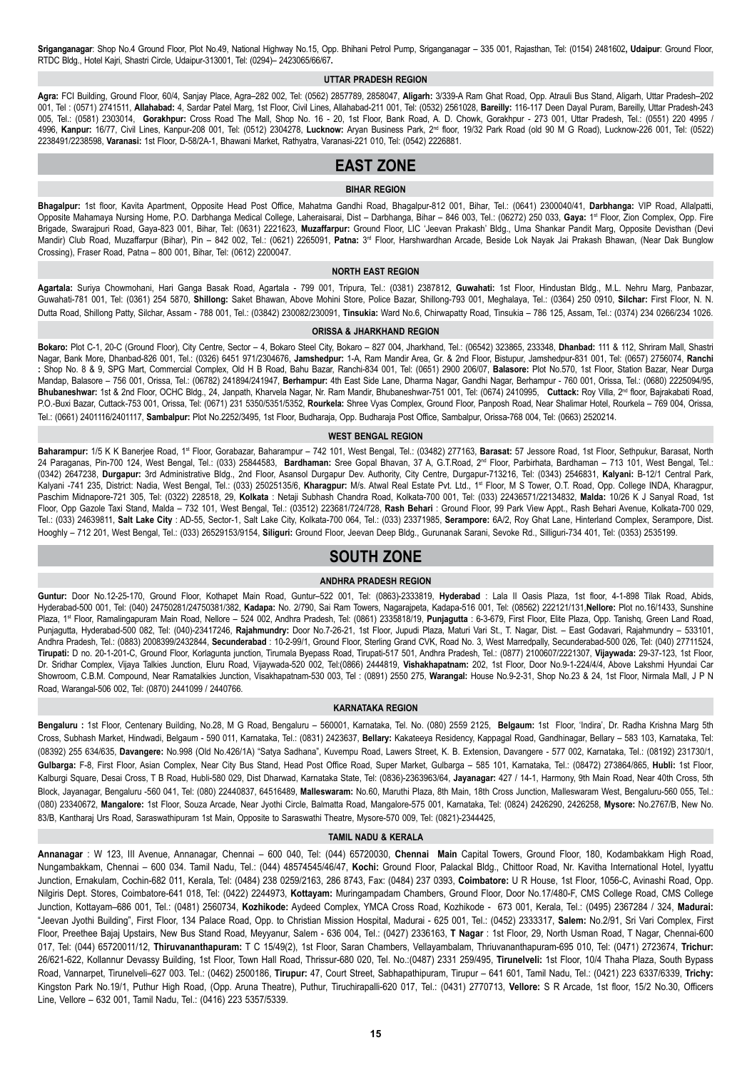**Sriganganagar**: Shop No.4 Ground Floor, Plot No.49, National Highway No.15, Opp. Bhihani Petrol Pump, Sriganganagar – 335 001, Rajasthan, Tel: (0154) 2481602**, Udaipur**: Ground Floor, RTDC Bldg., Hotel Kajri, Shastri Circle, Udaipur-313001, Tel: (0294)– 2423065/66/67**.**

### **UTTAR PRADESH REGION**

**Agra:** FCI Building, Ground Floor, 60/4, Sanjay Place, Agra–282 002, Tel: (0562) 2857789, 2858047, **Aligarh:** 3/339-A Ram Ghat Road, Opp. Atrauli Bus Stand, Aligarh, Uttar Pradesh–202 001, Tel : (0571) 2741511, **Allahabad:** 4, Sardar Patel Marg, 1st Floor, Civil Lines, Allahabad-211 001, Tel: (0532) 2561028, **Bareilly:** 116-117 Deen Dayal Puram, Bareilly, Uttar Pradesh-243 005, Tel.: (0581) 2303014, **Gorakhpur:** Cross Road The Mall, Shop No. 16 - 20, 1st Floor, Bank Road, A. D. Chowk, Gorakhpur - 273 001, Uttar Pradesh, Tel.: (0551) 220 4995 / 4996, **Kanpur:** 16/77, Civil Lines, Kanpur-208 001, Tel: (0512) 2304278, **Lucknow:** Aryan Business Park, 2nd floor, 19/32 Park Road (old 90 M G Road), Lucknow-226 001, Tel: (0522) 2238491/2238598, **Varanasi:** 1st Floor, D-58/2A-1, Bhawani Market, Rathyatra, Varanasi-221 010, Tel: (0542) 2226881.

## **EAST ZONE**

#### **BIHAR REGION**

**Bhagalpur:** 1st floor, Kavita Apartment, Opposite Head Post Office, Mahatma Gandhi Road, Bhagalpur-812 001, Bihar, Tel.: (0641) 2300040/41, **Darbhanga:** VIP Road, Allalpatti, Opposite Mahamaya Nursing Home, P.O. Darbhanga Medical College, Laheraisarai, Dist – Darbhanga, Bihar – 846 003, Tel.: (06272) 250 033, **Gaya:** 1st Floor, Zion Complex, Opp. Fire Brigade, Swarajpuri Road, Gaya-823 001, Bihar, Tel: (0631) 2221623, **Muzaffarpur:** Ground Floor, LIC 'Jeevan Prakash' Bldg., Uma Shankar Pandit Marg, Opposite Devisthan (Devi Mandir) Club Road, Muzaffarpur (Bihar), Pin - 842 002, Tel.: (0621) 2265091, Patna: 3<sup>rd</sup> Floor, Harshwardhan Arcade, Beside Lok Nayak Jai Prakash Bhawan, (Near Dak Bunglow Crossing), Fraser Road, Patna – 800 001, Bihar, Tel: (0612) 2200047.

#### **NORTH EAST REGION**

**Agartala:** Suriya Chowmohani, Hari Ganga Basak Road, Agartala - 799 001, Tripura, Tel.: (0381) 2387812, **Guwahati:** 1st Floor, Hindustan Bldg., M.L. Nehru Marg, Panbazar, Guwahati-781 001, Tel: (0361) 254 5870, **Shillong:** Saket Bhawan, Above Mohini Store, Police Bazar, Shillong-793 001, Meghalaya, Tel.: (0364) 250 0910, **Silchar:** First Floor, N. N. Dutta Road, Shillong Patty, Silchar, Assam - 788 001, Tel.: (03842) 230082/230091, **Tinsukia:** Ward No.6, Chirwapatty Road, Tinsukia – 786 125, Assam, Tel.: (0374) 234 0266/234 1026.

#### **ORISSA & JHARKHAND REGION**

**Bokaro:** Plot C-1, 20-C (Ground Floor), City Centre, Sector – 4, Bokaro Steel City, Bokaro – 827 004, Jharkhand, Tel.: (06542) 323865, 233348, **Dhanbad:** 111 & 112, Shriram Mall, Shastri Nagar, Bank More, Dhanbad-826 001, Tel.: (0326) 6451 971/2304676, **Jamshedpur:** 1-A, Ram Mandir Area, Gr. & 2nd Floor, Bistupur, Jamshedpur-831 001, Tel: (0657) 2756074, **Ranchi :** Shop No. 8 & 9, SPG Mart, Commercial Complex, Old H B Road, Bahu Bazar, Ranchi-834 001, Tel: (0651) 2900 206/07, **Balasore:** Plot No.570, 1st Floor, Station Bazar, Near Durga Mandap, Balasore – 756 001, Orissa, Tel.: (06782) 241894/241947, **Berhampur:** 4th East Side Lane, Dharma Nagar, Gandhi Nagar, Berhampur - 760 001, Orissa, Tel.: (0680) 2225094/95, **Bhubaneshwar:** 1st & 2nd Floor, OCHC Bldg., 24, Janpath, Kharvela Nagar, Nr. Ram Mandir, Bhubaneshwar-751 001, Tel: (0674) 2410995, **Cuttack:** Roy Villa, 2nd floor, Bajrakabati Road, P.O.-Buxi Bazar, Cuttack-753 001, Orissa, Tel: (0671) 231 5350/5351/5352, **Rourkela:** Shree Vyas Complex, Ground Floor, Panposh Road, Near Shalimar Hotel, Rourkela – 769 004, Orissa, Tel.: (0661) 2401116/2401117, **Sambalpur:** Plot No.2252/3495, 1st Floor, Budharaja, Opp. Budharaja Post Office, Sambalpur, Orissa-768 004, Tel: (0663) 2520214.

#### **WEST BENGAL REGION**

Baharampur: 1/5 K K Banerjee Road, 1<sup>st</sup> Floor, Gorabazar, Baharampur – 742 101, West Bengal, Tel.: (03482) 277163, Barasat: 57 Jessore Road, 1st Floor, Sethpukur, Barasat, North 24 Paraganas, Pin-700 124, West Bengal, Tel.: (033) 25844583, **Bardhaman:** Sree Gopal Bhavan, 37 A, G.T.Road, 2nd Floor, Parbirhata, Bardhaman – 713 101, West Bengal, Tel.: (0342) 2647238, **Durgapur:** 3rd Administrative Bldg., 2nd Floor, Asansol Durgapur Dev. Authority, City Centre, Durgapur-713216, Tel: (0343) 2546831, **Kalyani:** B-12/1 Central Park, Kalyani -741 235, District: Nadia, West Bengal, Tel.: (033) 25025135/6, **Kharagpur:** M/s. Atwal Real Estate Pvt. Ltd., 1st Floor, M S Tower, O.T. Road, Opp. College INDA, Kharagpur, Paschim Midnapore-721 305, Tel: (0322) 228518, 29, **Kolkata** : Netaji Subhash Chandra Road, Kolkata-700 001, Tel: (033) 22436571/22134832, **Malda:** 10/26 K J Sanyal Road, 1st Floor, Opp Gazole Taxi Stand, Malda – 732 101, West Bengal, Tel.: (03512) 223681/724/728, **Rash Behari** : Ground Floor, 99 Park View Appt., Rash Behari Avenue, Kolkata-700 029, Tel.: (033) 24639811, **Salt Lake City** : AD-55, Sector-1, Salt Lake City, Kolkata-700 064, Tel.: (033) 23371985, **Serampore:** 6A/2, Roy Ghat Lane, Hinterland Complex, Serampore, Dist. Hooghly – 712 201, West Bengal, Tel.: (033) 26529153/9154, **Siliguri:** Ground Floor, Jeevan Deep Bldg., Gurunanak Sarani, Sevoke Rd., Silliguri-734 401, Tel: (0353) 2535199.

## **SOUTH ZONE**

## **ANDHRA PRADESH REGION**

**Guntur:** Door No.12-25-170, Ground Floor, Kothapet Main Road, Guntur–522 001, Tel: (0863)-2333819, **Hyderabad** : Lala II Oasis Plaza, 1st floor, 4-1-898 Tilak Road, Abids, Hyderabad-500 001, Tel: (040) 24750281/24750381/382, **Kadapa:** No. 2/790, Sai Ram Towers, Nagarajpeta, Kadapa-516 001, Tel: (08562) 222121/131,**Nellore:** Plot no.16/1433, Sunshine Plaza, 1<sup>st</sup> Floor, Ramalingapuram Main Road, Nellore – 524 002, Andhra Pradesh, Tel: (0861) 2335818/19, Punjagutta : 6-3-679, First Floor, Elite Plaza, Opp. Tanishq, Green Land Road, Punjagutta, Hyderabad-500 082, Tel: (040)-23417246, **Rajahmundry:** Door No.7-26-21, 1st Floor, Jupudi Plaza, Maturi Vari St., T. Nagar, Dist. – East Godavari, Rajahmundry – 533101, Andhra Pradesh, Tel.: (0883) 2008399/2432844, **Secunderabad** : 10-2-99/1, Ground Floor, Sterling Grand CVK, Road No. 3, West Marredpally, Secunderabad-500 026, Tel: (040) 27711524, **Tirupati:** D no. 20-1-201-C, Ground Floor, Korlagunta junction, Tirumala Byepass Road, Tirupati-517 501, Andhra Pradesh, Tel.: (0877) 2100607/2221307, **Vijaywada:** 29-37-123, 1st Floor, Dr. Sridhar Complex, Vijaya Talkies Junction, Eluru Road, Vijaywada-520 002, Tel:(0866) 2444819, **Vishakhapatnam:** 202, 1st Floor, Door No.9-1-224/4/4, Above Lakshmi Hyundai Car Showroom, C.B.M. Compound, Near Ramatalkies Junction, Visakhapatnam-530 003, Tel : (0891) 2550 275, **Warangal:** House No.9-2-31, Shop No.23 & 24, 1st Floor, Nirmala Mall, J P N Road, Warangal-506 002, Tel: (0870) 2441099 / 2440766.

### **KARNATAKA REGION**

**Bengaluru :** 1st Floor, Centenary Building, No.28, M G Road, Bengaluru – 560001, Karnataka, Tel. No. (080) 2559 2125, **Belgaum:** 1st Floor, 'Indira', Dr. Radha Krishna Marg 5th Cross, Subhash Market, Hindwadi, Belgaum - 590 011, Karnataka, Tel.: (0831) 2423637, **Bellary:** Kakateeya Residency, Kappagal Road, Gandhinagar, Bellary – 583 103, Karnataka, Tel: (08392) 255 634/635, **Davangere:** No.998 (Old No.426/1A) "Satya Sadhana", Kuvempu Road, Lawers Street, K. B. Extension, Davangere - 577 002, Karnataka, Tel.: (08192) 231730/1, **Gulbarga:** F-8, First Floor, Asian Complex, Near City Bus Stand, Head Post Office Road, Super Market, Gulbarga – 585 101, Karnataka, Tel.: (08472) 273864/865, **Hubli:** 1st Floor, Kalburgi Square, Desai Cross, T B Road, Hubli-580 029, Dist Dharwad, Karnataka State, Tel: (0836)-2363963/64, **Jayanagar:** 427 / 14-1, Harmony, 9th Main Road, Near 40th Cross, 5th Block, Jayanagar, Bengaluru -560 041, Tel: (080) 22440837, 64516489, **Malleswaram:** No.60, Maruthi Plaza, 8th Main, 18th Cross Junction, Malleswaram West, Bengaluru-560 055, Tel.: (080) 23340672, **Mangalore:** 1st Floor, Souza Arcade, Near Jyothi Circle, Balmatta Road, Mangalore-575 001, Karnataka, Tel: (0824) 2426290, 2426258, **Mysore:** No.2767/B, New No. 83/B, Kantharaj Urs Road, Saraswathipuram 1st Main, Opposite to Saraswathi Theatre, Mysore-570 009, Tel: (0821)-2344425,

#### **TAMIL NADU & KERALA**

**Annanagar** : W 123, III Avenue, Annanagar, Chennai – 600 040, Tel: (044) 65720030, **Chennai Main** Capital Towers, Ground Floor, 180, Kodambakkam High Road, Nungambakkam, Chennai – 600 034. Tamil Nadu, Tel.: (044) 48574545/46/47, **Kochi:** Ground Floor, Palackal Bldg., Chittoor Road, Nr. Kavitha International Hotel, Iyyattu Junction, Ernakulam, Cochin-682 011, Kerala, Tel: (0484) 238 0259/2163, 286 8743, Fax: (0484) 237 0393, **Coimbatore:** U R House, 1st Floor, 1056-C, Avinashi Road, Opp. Nilgiris Dept. Stores, Coimbatore-641 018, Tel: (0422) 2244973, **Kottayam:** Muringampadam Chambers, Ground Floor, Door No.17/480-F, CMS College Road, CMS College Junction, Kottayam–686 001, Tel.: (0481) 2560734, **Kozhikode:** Aydeed Complex, YMCA Cross Road, Kozhikode - 673 001, Kerala, Tel.: (0495) 2367284 / 324, **Madurai:** "Jeevan Jyothi Building", First Floor, 134 Palace Road, Opp. to Christian Mission Hospital, Madurai - 625 001, Tel.: (0452) 2333317, **Salem:** No.2/91, Sri Vari Complex, First Floor, Preethee Bajaj Upstairs, New Bus Stand Road, Meyyanur, Salem - 636 004, Tel.: (0427) 2336163, **T Nagar** : 1st Floor, 29, North Usman Road, T Nagar, Chennai-600 017, Tel: (044) 65720011/12, **Thiruvananthapuram:** T C 15/49(2), 1st Floor, Saran Chambers, Vellayambalam, Thriuvananthapuram-695 010, Tel: (0471) 2723674, **Trichur:** 26/621-622, Kollannur Devassy Building, 1st Floor, Town Hall Road, Thrissur-680 020, Tel. No.:(0487) 2331 259/495, **Tirunelveli:** 1st Floor, 10/4 Thaha Plaza, South Bypass Road, Vannarpet, Tirunelveli–627 003. Tel.: (0462) 2500186, **Tirupur:** 47, Court Street, Sabhapathipuram, Tirupur – 641 601, Tamil Nadu, Tel.: (0421) 223 6337/6339, **Trichy:** Kingston Park No.19/1, Puthur High Road, (Opp. Aruna Theatre), Puthur, Tiruchirapalli-620 017, Tel.: (0431) 2770713, **Vellore:** S R Arcade, 1st floor, 15/2 No.30, Officers Line, Vellore – 632 001, Tamil Nadu, Tel.: (0416) 223 5357/5339.